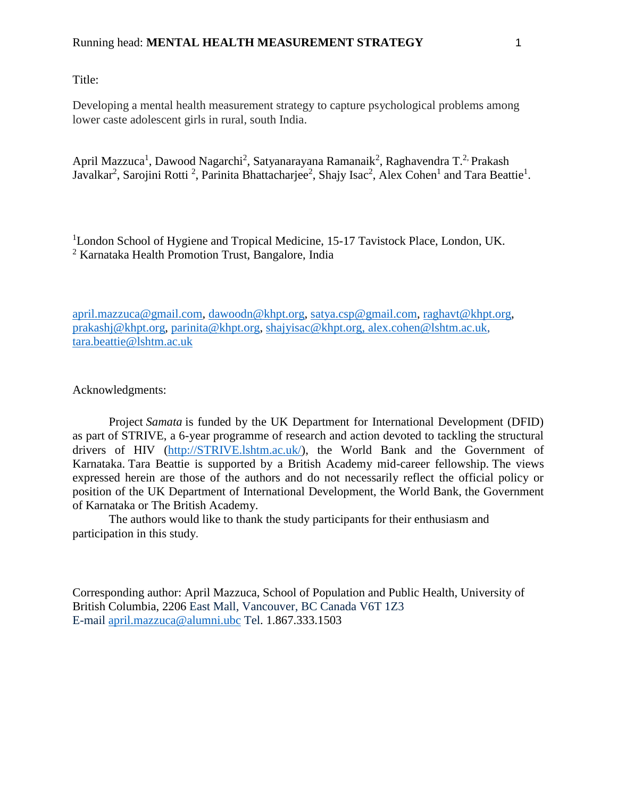Title:

Developing a mental health measurement strategy to capture psychological problems among lower caste adolescent girls in rural, south India.

April Mazzuca<sup>1</sup>, Dawood Nagarchi<sup>2</sup>, Satyanarayana Ramanaik<sup>2</sup>, Raghavendra T.<sup>2,</sup> Prakash Javalkar<sup>2</sup>, Sarojini Rotti<sup>2</sup>, Parinita Bhattacharjee<sup>2</sup>, Shajy Isac<sup>2</sup>, Alex Cohen<sup>1</sup> and Tara Beattie<sup>1</sup>.

<sup>1</sup>London School of Hygiene and Tropical Medicine, 15-17 Tavistock Place, London, UK. <sup>2</sup> Karnataka Health Promotion Trust, Bangalore, India

[april.mazzuca@gmail.com,](mailto:april.mazzuca@gmail.com) [dawoodn@khpt.org,](mailto:dawoodn@khpt.org) [satya.csp@gmail.com,](mailto:satya.csp@gmail.com) [raghavt@khpt.org,](mailto:raghavt@khpt.org) [prakashj@khpt.org,](mailto:prakashj@khpt.org) [parinita@khpt.org,](mailto:parinita@khpt.org) [shajyisac@khpt.org,](mailto:shajyisac@khpt.org) [alex.cohen@lshtm.ac.uk,](mailto:alex.cohen@lshtm.ac.uk) [tara.beattie@lshtm.ac.uk](mailto:tara.beattie@lshtm.ac.uk)

Acknowledgments:

Project *Samata* is funded by the UK Department for International Development (DFID) as part of STRIVE, a 6-year programme of research and action devoted to tackling the structural drivers of HIV [\(http://STRIVE.lshtm.ac.uk/\)](http://strive.lshtm.ac.uk/), the World Bank and the Government of Karnataka. Tara Beattie is supported by a British Academy mid-career fellowship. The views expressed herein are those of the authors and do not necessarily reflect the official policy or position of the UK Department of International Development, the World Bank, the Government of Karnataka or The British Academy.

The authors would like to thank the study participants for their enthusiasm and participation in this study.

Corresponding author: April Mazzuca, School of Population and Public Health, University of British Columbia, 2206 East Mall, Vancouver, BC Canada V6T 1Z3 E-mail [april.mazzuca@alumni.ubc](mailto:april.mazzuca@alumni.ubc) Tel. 1.867.333.1503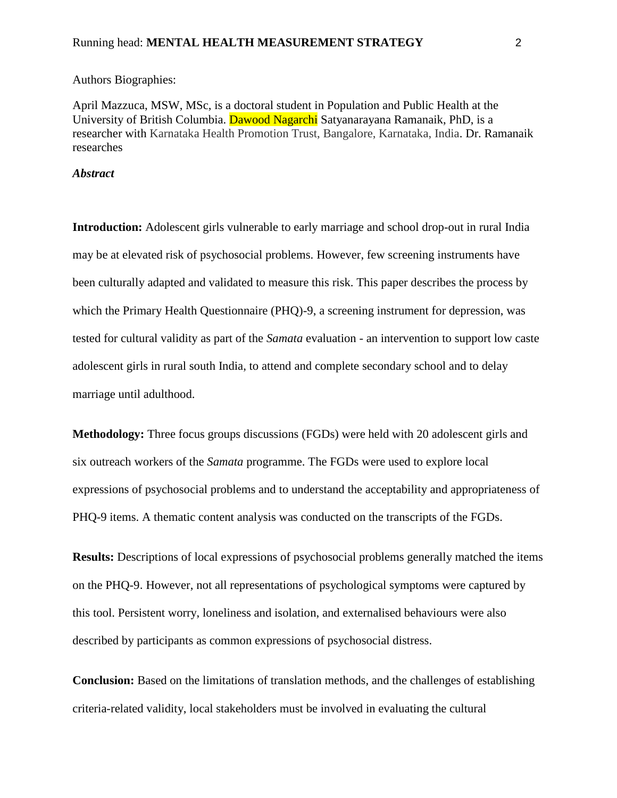Authors Biographies:

April Mazzuca, MSW, MSc, is a doctoral student in Population and Public Health at the University of British Columbia. Dawood Nagarchi Satyanarayana Ramanaik, PhD, is a researcher with Karnataka Health Promotion Trust, Bangalore, Karnataka, India. Dr. Ramanaik researches

### *Abstract*

**Introduction:** Adolescent girls vulnerable to early marriage and school drop-out in rural India may be at elevated risk of psychosocial problems. However, few screening instruments have been culturally adapted and validated to measure this risk. This paper describes the process by which the Primary Health Questionnaire (PHQ)-9, a screening instrument for depression, was tested for cultural validity as part of the *Samata* evaluation - an intervention to support low caste adolescent girls in rural south India, to attend and complete secondary school and to delay marriage until adulthood.

**Methodology:** Three focus groups discussions (FGDs) were held with 20 adolescent girls and six outreach workers of the *Samata* programme. The FGDs were used to explore local expressions of psychosocial problems and to understand the acceptability and appropriateness of PHQ-9 items. A thematic content analysis was conducted on the transcripts of the FGDs.

**Results:** Descriptions of local expressions of psychosocial problems generally matched the items on the PHQ-9. However, not all representations of psychological symptoms were captured by this tool. Persistent worry, loneliness and isolation, and externalised behaviours were also described by participants as common expressions of psychosocial distress.

**Conclusion:** Based on the limitations of translation methods, and the challenges of establishing criteria-related validity, local stakeholders must be involved in evaluating the cultural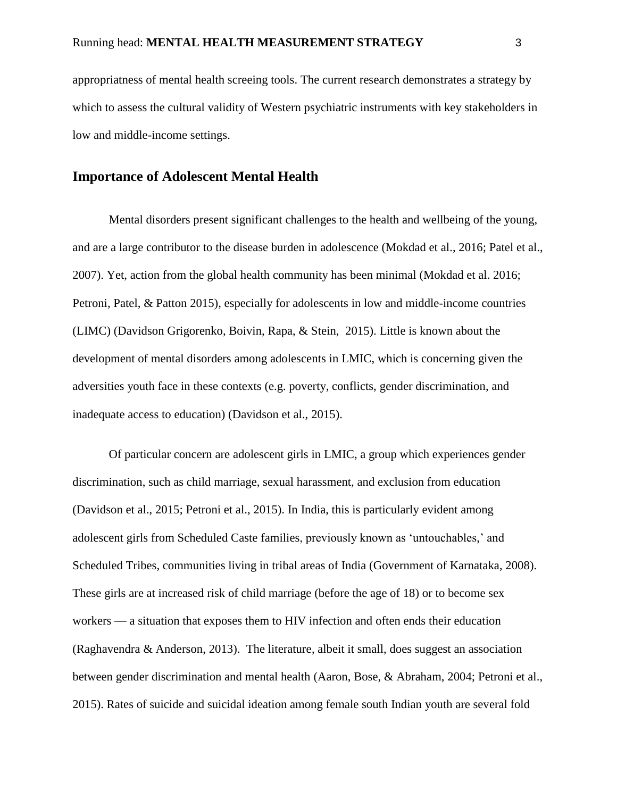appropriatness of mental health screeing tools. The current research demonstrates a strategy by which to assess the cultural validity of Western psychiatric instruments with key stakeholders in low and middle-income settings.

# **Importance of Adolescent Mental Health**

Mental disorders present significant challenges to the health and wellbeing of the young, and are a large contributor to the disease burden in adolescence (Mokdad et al., 2016; Patel et al., 2007). Yet, action from the global health community has been minimal (Mokdad et al. 2016; Petroni, Patel, & Patton 2015), especially for adolescents in low and middle-income countries (LIMC) (Davidson Grigorenko, Boivin, Rapa, & Stein, 2015). Little is known about the development of mental disorders among adolescents in LMIC, which is concerning given the adversities youth face in these contexts (e.g. poverty, conflicts, gender discrimination, and inadequate access to education) (Davidson et al., 2015).

Of particular concern are adolescent girls in LMIC, a group which experiences gender discrimination, such as child marriage, sexual harassment, and exclusion from education (Davidson et al., 2015; Petroni et al., 2015). In India, this is particularly evident among adolescent girls from Scheduled Caste families, previously known as 'untouchables,' and Scheduled Tribes, communities living in tribal areas of India (Government of Karnataka, 2008). These girls are at increased risk of child marriage (before the age of 18) or to become sex workers — a situation that exposes them to HIV infection and often ends their education (Raghavendra  $\&$  Anderson, 2013). The literature, albeit it small, does suggest an association between gender discrimination and mental health (Aaron, Bose, & Abraham, 2004; Petroni et al., 2015). Rates of suicide and suicidal ideation among female south Indian youth are several fold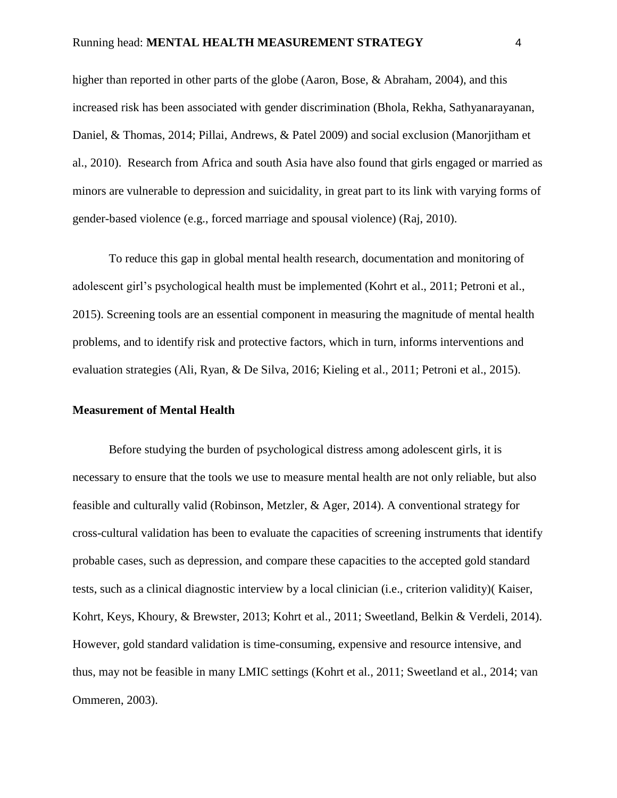higher than reported in other parts of the globe (Aaron, Bose, & Abraham, 2004), and this increased risk has been associated with gender discrimination (Bhola, Rekha, Sathyanarayanan, Daniel, & Thomas, 2014; Pillai, Andrews, & Patel 2009) and social exclusion (Manorjitham et al., 2010). Research from Africa and south Asia have also found that girls engaged or married as minors are vulnerable to depression and suicidality, in great part to its link with varying forms of gender-based violence (e.g., forced marriage and spousal violence) (Raj, 2010).

To reduce this gap in global mental health research, documentation and monitoring of adolescent girl's psychological health must be implemented (Kohrt et al., 2011; Petroni et al., 2015). Screening tools are an essential component in measuring the magnitude of mental health problems, and to identify risk and protective factors, which in turn, informs interventions and evaluation strategies (Ali, Ryan, & De Silva, 2016; Kieling et al., 2011; Petroni et al., 2015).

## **Measurement of Mental Health**

Before studying the burden of psychological distress among adolescent girls, it is necessary to ensure that the tools we use to measure mental health are not only reliable, but also feasible and culturally valid (Robinson, Metzler, & Ager, 2014). A conventional strategy for cross-cultural validation has been to evaluate the capacities of screening instruments that identify probable cases, such as depression, and compare these capacities to the accepted gold standard tests, such as a clinical diagnostic interview by a local clinician (i.e., criterion validity)( Kaiser, Kohrt, Keys, Khoury, & Brewster, 2013; Kohrt et al., 2011; Sweetland, Belkin & Verdeli, 2014). However, gold standard validation is time-consuming, expensive and resource intensive, and thus, may not be feasible in many LMIC settings (Kohrt et al., 2011; Sweetland et al., 2014; van Ommeren, 2003).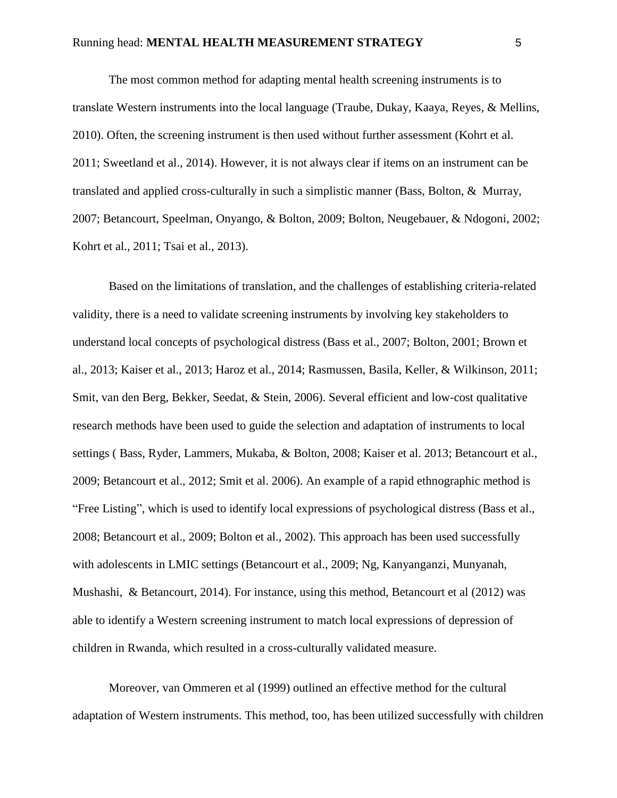The most common method for adapting mental health screening instruments is to translate Western instruments into the local language (Traube, Dukay, Kaaya, Reyes, & Mellins, 2010). Often, the screening instrument is then used without further assessment (Kohrt et al. 2011; Sweetland et al., 2014). However, it is not always clear if items on an instrument can be translated and applied cross-culturally in such a simplistic manner (Bass, Bolton, & Murray, 2007; Betancourt, Speelman, Onyango, & Bolton, 2009; Bolton, Neugebauer, & Ndogoni, 2002; Kohrt et al., 2011; Tsai et al., 2013).

Based on the limitations of translation, and the challenges of establishing criteria-related validity, there is a need to validate screening instruments by involving key stakeholders to understand local concepts of psychological distress (Bass et al., 2007; Bolton, 2001; Brown et al., 2013; Kaiser et al., 2013; Haroz et al., 2014; Rasmussen, Basila, Keller, & Wilkinson, 2011; Smit, van den Berg, Bekker, Seedat, & Stein, 2006). Several efficient and low-cost qualitative research methods have been used to guide the selection and adaptation of instruments to local settings ( Bass, Ryder, Lammers, Mukaba, & Bolton, 2008; Kaiser et al. 2013; Betancourt et al., 2009; Betancourt et al., 2012; Smit et al. 2006). An example of a rapid ethnographic method is "Free Listing", which is used to identify local expressions of psychological distress (Bass et al., 2008; Betancourt et al., 2009; Bolton et al., 2002). This approach has been used successfully with adolescents in LMIC settings (Betancourt et al., 2009; Ng, Kanyanganzi, Munyanah, Mushashi, & Betancourt, 2014). For instance, using this method, Betancourt et al (2012) was able to identify a Western screening instrument to match local expressions of depression of children in Rwanda, which resulted in a cross-culturally validated measure.

Moreover, van Ommeren et al (1999) outlined an effective method for the cultural adaptation of Western instruments. This method, too, has been utilized successfully with children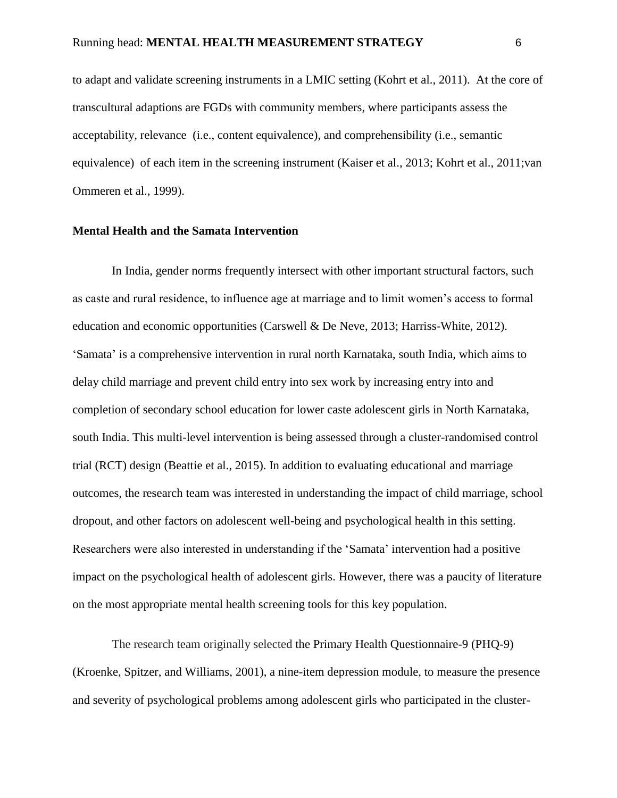to adapt and validate screening instruments in a LMIC setting (Kohrt et al., 2011). At the core of transcultural adaptions are FGDs with community members, where participants assess the acceptability, relevance (i.e., content equivalence), and comprehensibility (i.e., semantic equivalence) of each item in the screening instrument (Kaiser et al., 2013; Kohrt et al., 2011;van Ommeren et al., 1999).

#### **Mental Health and the Samata Intervention**

In India, gender norms frequently intersect with other important structural factors, such as caste and rural residence, to influence age at marriage and to limit women's access to formal education and economic opportunities (Carswell & De Neve, 2013; Harriss-White, 2012). 'Samata' is a comprehensive intervention in rural north Karnataka, south India, which aims to delay child marriage and prevent child entry into sex work by increasing entry into and completion of secondary school education for lower caste adolescent girls in North Karnataka, south India. This multi-level intervention is being assessed through a cluster-randomised control trial (RCT) design (Beattie et al., 2015). In addition to evaluating educational and marriage outcomes, the research team was interested in understanding the impact of child marriage, school dropout, and other factors on adolescent well-being and psychological health in this setting. Researchers were also interested in understanding if the 'Samata' intervention had a positive impact on the psychological health of adolescent girls. However, there was a paucity of literature on the most appropriate mental health screening tools for this key population.

The research team originally selected the Primary Health Questionnaire-9 (PHQ-9) (Kroenke, Spitzer, and Williams, 2001), a nine-item depression module, to measure the presence and severity of psychological problems among adolescent girls who participated in the cluster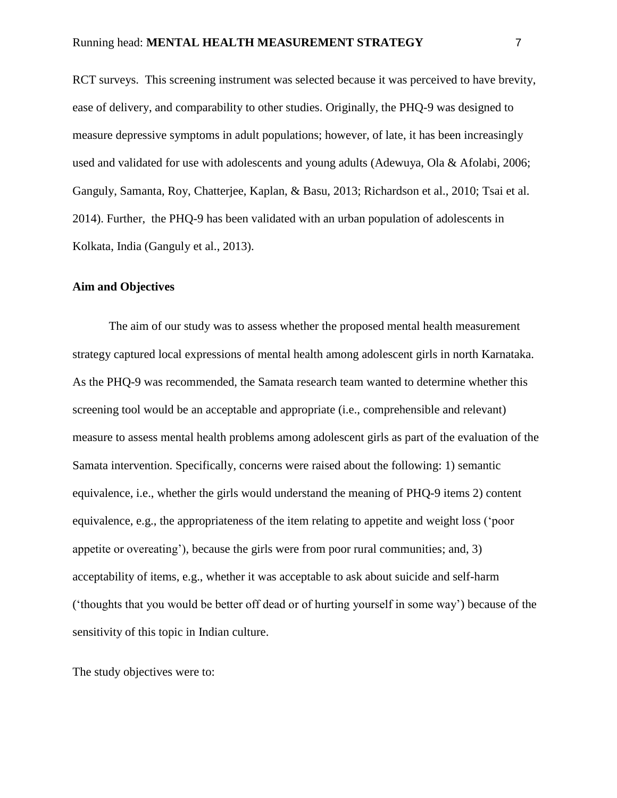RCT surveys. This screening instrument was selected because it was perceived to have brevity, ease of delivery, and comparability to other studies. Originally, the PHQ-9 was designed to measure depressive symptoms in adult populations; however, of late, it has been increasingly used and validated for use with adolescents and young adults (Adewuya, Ola & Afolabi, 2006; Ganguly, Samanta, Roy, Chatterjee, Kaplan, & Basu, 2013; Richardson et al., 2010; Tsai et al. 2014). Further, the PHQ-9 has been validated with an urban population of adolescents in Kolkata, India (Ganguly et al., 2013).

#### **Aim and Objectives**

The aim of our study was to assess whether the proposed mental health measurement strategy captured local expressions of mental health among adolescent girls in north Karnataka. As the PHQ-9 was recommended, the Samata research team wanted to determine whether this screening tool would be an acceptable and appropriate (i.e., comprehensible and relevant) measure to assess mental health problems among adolescent girls as part of the evaluation of the Samata intervention. Specifically, concerns were raised about the following: 1) semantic equivalence, i.e., whether the girls would understand the meaning of PHQ-9 items 2) content equivalence, e.g., the appropriateness of the item relating to appetite and weight loss ('poor appetite or overeating'), because the girls were from poor rural communities; and, 3) acceptability of items, e.g., whether it was acceptable to ask about suicide and self-harm ('thoughts that you would be better off dead or of hurting yourself in some way') because of the sensitivity of this topic in Indian culture.

The study objectives were to: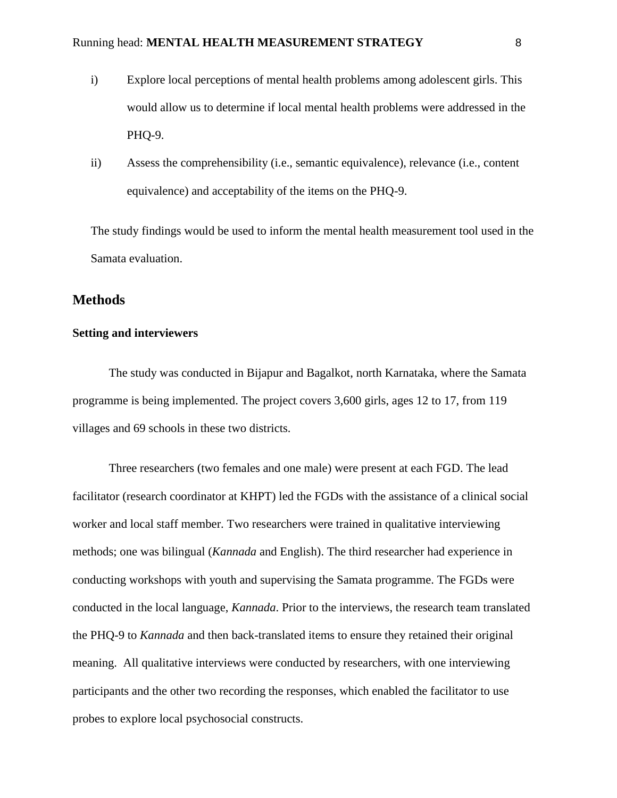- i) Explore local perceptions of mental health problems among adolescent girls. This would allow us to determine if local mental health problems were addressed in the PHQ-9.
- ii) Assess the comprehensibility (i.e., semantic equivalence), relevance (i.e., content equivalence) and acceptability of the items on the PHQ-9.

The study findings would be used to inform the mental health measurement tool used in the Samata evaluation.

# **Methods**

## **Setting and interviewers**

The study was conducted in Bijapur and Bagalkot, north Karnataka, where the Samata programme is being implemented. The project covers 3,600 girls, ages 12 to 17, from 119 villages and 69 schools in these two districts.

Three researchers (two females and one male) were present at each FGD. The lead facilitator (research coordinator at KHPT) led the FGDs with the assistance of a clinical social worker and local staff member. Two researchers were trained in qualitative interviewing methods; one was bilingual (*Kannada* and English). The third researcher had experience in conducting workshops with youth and supervising the Samata programme. The FGDs were conducted in the local language, *Kannada*. Prior to the interviews, the research team translated the PHQ-9 to *Kannada* and then back-translated items to ensure they retained their original meaning. All qualitative interviews were conducted by researchers, with one interviewing participants and the other two recording the responses, which enabled the facilitator to use probes to explore local psychosocial constructs.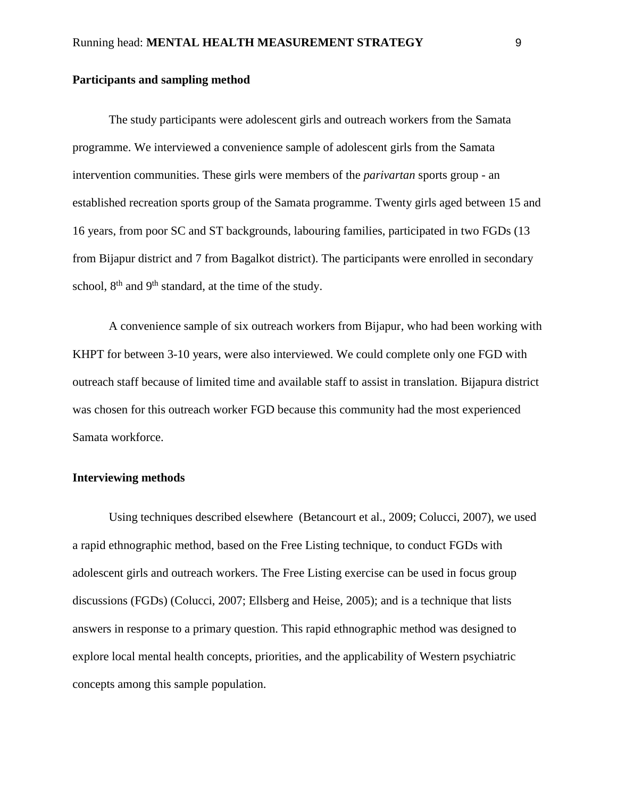# **Participants and sampling method**

The study participants were adolescent girls and outreach workers from the Samata programme. We interviewed a convenience sample of adolescent girls from the Samata intervention communities. These girls were members of the *parivartan* sports group - an established recreation sports group of the Samata programme. Twenty girls aged between 15 and 16 years, from poor SC and ST backgrounds, labouring families, participated in two FGDs (13 from Bijapur district and 7 from Bagalkot district). The participants were enrolled in secondary school,  $8<sup>th</sup>$  and  $9<sup>th</sup>$  standard, at the time of the study.

A convenience sample of six outreach workers from Bijapur, who had been working with KHPT for between 3-10 years, were also interviewed. We could complete only one FGD with outreach staff because of limited time and available staff to assist in translation. Bijapura district was chosen for this outreach worker FGD because this community had the most experienced Samata workforce.

#### **Interviewing methods**

Using techniques described elsewhere (Betancourt et al., 2009; Colucci, 2007), we used a rapid ethnographic method, based on the Free Listing technique, to conduct FGDs with adolescent girls and outreach workers. The Free Listing exercise can be used in focus group discussions (FGDs) (Colucci, 2007; Ellsberg and Heise, 2005); and is a technique that lists answers in response to a primary question. This rapid ethnographic method was designed to explore local mental health concepts, priorities, and the applicability of Western psychiatric concepts among this sample population.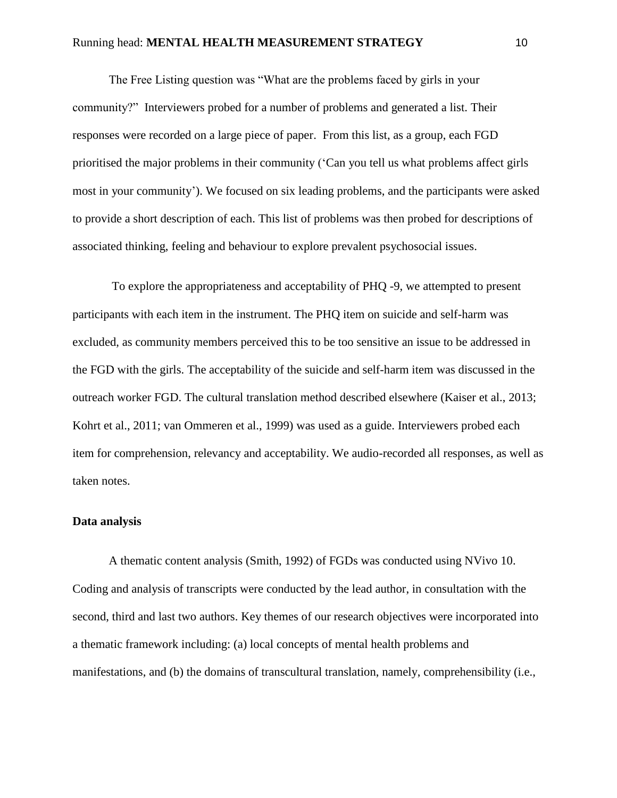The Free Listing question was "What are the problems faced by girls in your community?" Interviewers probed for a number of problems and generated a list. Their responses were recorded on a large piece of paper. From this list, as a group, each FGD prioritised the major problems in their community ('Can you tell us what problems affect girls most in your community'). We focused on six leading problems, and the participants were asked to provide a short description of each. This list of problems was then probed for descriptions of associated thinking, feeling and behaviour to explore prevalent psychosocial issues.

To explore the appropriateness and acceptability of PHQ -9, we attempted to present participants with each item in the instrument. The PHQ item on suicide and self-harm was excluded, as community members perceived this to be too sensitive an issue to be addressed in the FGD with the girls. The acceptability of the suicide and self-harm item was discussed in the outreach worker FGD. The cultural translation method described elsewhere (Kaiser et al., 2013; Kohrt et al., 2011; van Ommeren et al., 1999) was used as a guide. Interviewers probed each item for comprehension, relevancy and acceptability. We audio-recorded all responses, as well as taken notes.

### **Data analysis**

A thematic content analysis (Smith, 1992) of FGDs was conducted using NVivo 10. Coding and analysis of transcripts were conducted by the lead author, in consultation with the second, third and last two authors. Key themes of our research objectives were incorporated into a thematic framework including: (a) local concepts of mental health problems and manifestations, and (b) the domains of transcultural translation, namely, comprehensibility (i.e.,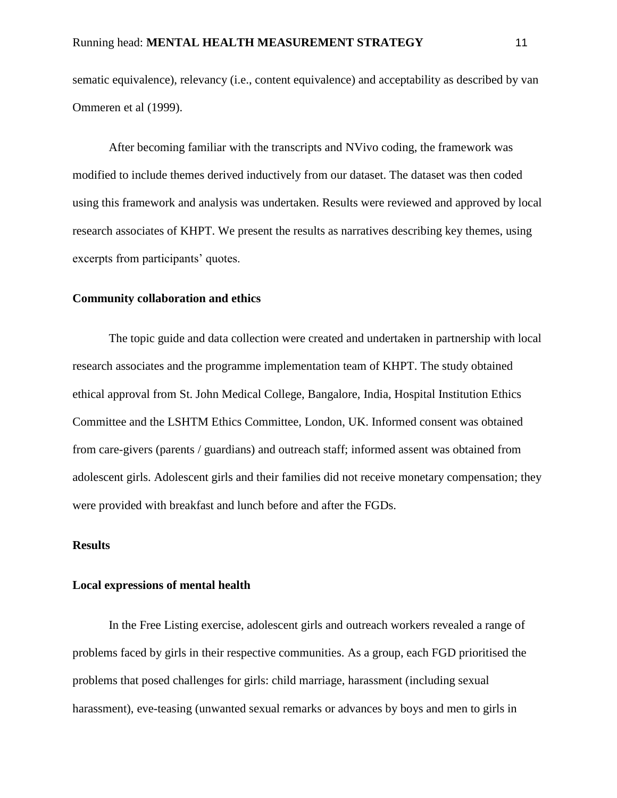sematic equivalence), relevancy (i.e., content equivalence) and acceptability as described by van Ommeren et al (1999).

After becoming familiar with the transcripts and NVivo coding, the framework was modified to include themes derived inductively from our dataset. The dataset was then coded using this framework and analysis was undertaken. Results were reviewed and approved by local research associates of KHPT. We present the results as narratives describing key themes, using excerpts from participants' quotes.

## **Community collaboration and ethics**

The topic guide and data collection were created and undertaken in partnership with local research associates and the programme implementation team of KHPT. The study obtained ethical approval from St. John Medical College, Bangalore, India, Hospital Institution Ethics Committee and the LSHTM Ethics Committee, London, UK. Informed consent was obtained from care-givers (parents / guardians) and outreach staff; informed assent was obtained from adolescent girls. Adolescent girls and their families did not receive monetary compensation; they were provided with breakfast and lunch before and after the FGDs.

## **Results**

#### **Local expressions of mental health**

In the Free Listing exercise, adolescent girls and outreach workers revealed a range of problems faced by girls in their respective communities. As a group, each FGD prioritised the problems that posed challenges for girls: child marriage, harassment (including sexual harassment), eve-teasing (unwanted sexual remarks or advances by boys and men to girls in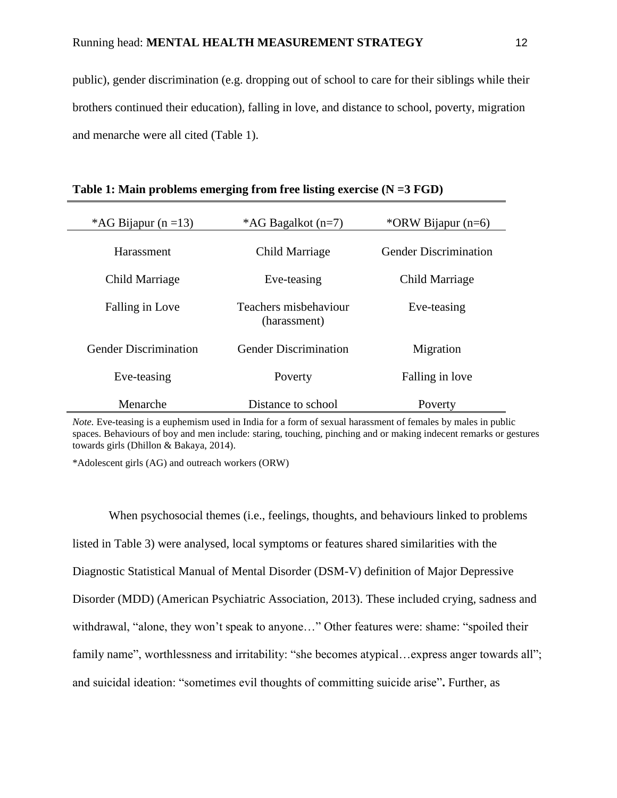public), gender discrimination (e.g. dropping out of school to care for their siblings while their brothers continued their education), falling in love, and distance to school, poverty, migration and menarche were all cited (Table 1).

| *AG Bijapur (n = 13)         | *AG Bagalkot (n=7)                    | *ORW Bijapur $(n=6)$         |  |
|------------------------------|---------------------------------------|------------------------------|--|
| Harassment                   | Child Marriage                        | <b>Gender Discrimination</b> |  |
| Child Marriage               | Eve-teasing                           | Child Marriage               |  |
| Falling in Love              | Teachers misbehaviour<br>(harassment) | Eve-teasing                  |  |
| <b>Gender Discrimination</b> | <b>Gender Discrimination</b>          | Migration                    |  |
| Eve-teasing                  | Poverty                               | Falling in love              |  |
| Menarche                     | Distance to school                    | Poverty                      |  |

|  | Table 1: Main problems emerging from free listing exercise $(N = 3 FGD)$ |
|--|--------------------------------------------------------------------------|
|  |                                                                          |

*Note.* Eve-teasing is a euphemism used in India for a form of sexual harassment of females by males in public spaces. Behaviours of boy and men include: staring, touching, pinching and or making indecent remarks or gestures towards girls (Dhillon & Bakaya, 2014).

\*Adolescent girls (AG) and outreach workers (ORW)

When psychosocial themes (i.e., feelings, thoughts, and behaviours linked to problems listed in Table 3) were analysed, local symptoms or features shared similarities with the Diagnostic Statistical Manual of Mental Disorder (DSM-V) definition of Major Depressive Disorder (MDD) (American Psychiatric Association, 2013). These included crying, sadness and withdrawal, "alone, they won't speak to anyone…" Other features were: shame: "spoiled their family name", worthlessness and irritability: "she becomes atypical... express anger towards all"; and suicidal ideation: "sometimes evil thoughts of committing suicide arise"**.** Further, as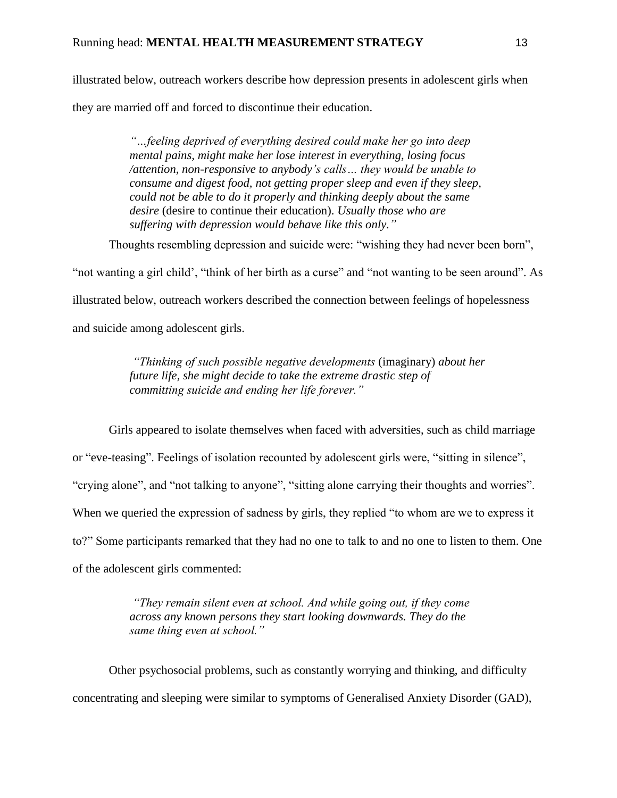illustrated below, outreach workers describe how depression presents in adolescent girls when they are married off and forced to discontinue their education.

> *"…feeling deprived of everything desired could make her go into deep mental pains, might make her lose interest in everything, losing focus /attention, non-responsive to anybody's calls… they would be unable to consume and digest food, not getting proper sleep and even if they sleep, could not be able to do it properly and thinking deeply about the same desire* (desire to continue their education). *Usually those who are suffering with depression would behave like this only."*

Thoughts resembling depression and suicide were: "wishing they had never been born",

"not wanting a girl child', "think of her birth as a curse" and "not wanting to be seen around". As

illustrated below, outreach workers described the connection between feelings of hopelessness

and suicide among adolescent girls.

*"Thinking of such possible negative developments* (imaginary) *about her future life, she might decide to take the extreme drastic step of committing suicide and ending her life forever."*

Girls appeared to isolate themselves when faced with adversities, such as child marriage or "eve-teasing". Feelings of isolation recounted by adolescent girls were, "sitting in silence", "crying alone", and "not talking to anyone", "sitting alone carrying their thoughts and worries". When we queried the expression of sadness by girls, they replied "to whom are we to express it to?" Some participants remarked that they had no one to talk to and no one to listen to them. One of the adolescent girls commented:

> *"They remain silent even at school. And while going out, if they come across any known persons they start looking downwards. They do the same thing even at school."*

Other psychosocial problems, such as constantly worrying and thinking, and difficulty concentrating and sleeping were similar to symptoms of Generalised Anxiety Disorder (GAD),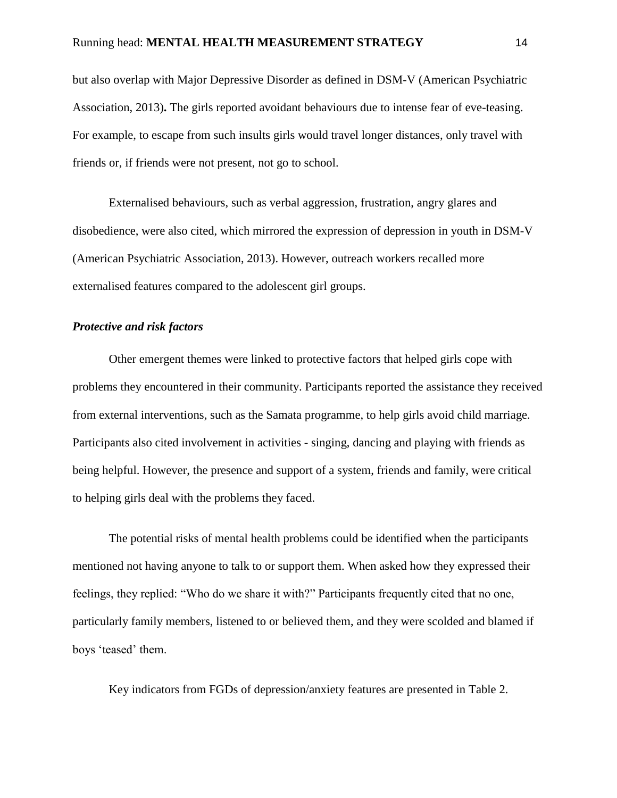but also overlap with Major Depressive Disorder as defined in DSM-V (American Psychiatric Association, 2013)**.** The girls reported avoidant behaviours due to intense fear of eve-teasing. For example, to escape from such insults girls would travel longer distances, only travel with friends or, if friends were not present, not go to school.

Externalised behaviours, such as verbal aggression, frustration, angry glares and disobedience, were also cited, which mirrored the expression of depression in youth in DSM-V (American Psychiatric Association, 2013). However, outreach workers recalled more externalised features compared to the adolescent girl groups.

## *Protective and risk factors*

Other emergent themes were linked to protective factors that helped girls cope with problems they encountered in their community. Participants reported the assistance they received from external interventions, such as the Samata programme, to help girls avoid child marriage. Participants also cited involvement in activities - singing, dancing and playing with friends as being helpful. However, the presence and support of a system, friends and family, were critical to helping girls deal with the problems they faced.

The potential risks of mental health problems could be identified when the participants mentioned not having anyone to talk to or support them. When asked how they expressed their feelings, they replied: "Who do we share it with?" Participants frequently cited that no one, particularly family members, listened to or believed them, and they were scolded and blamed if boys 'teased' them.

Key indicators from FGDs of depression/anxiety features are presented in Table 2.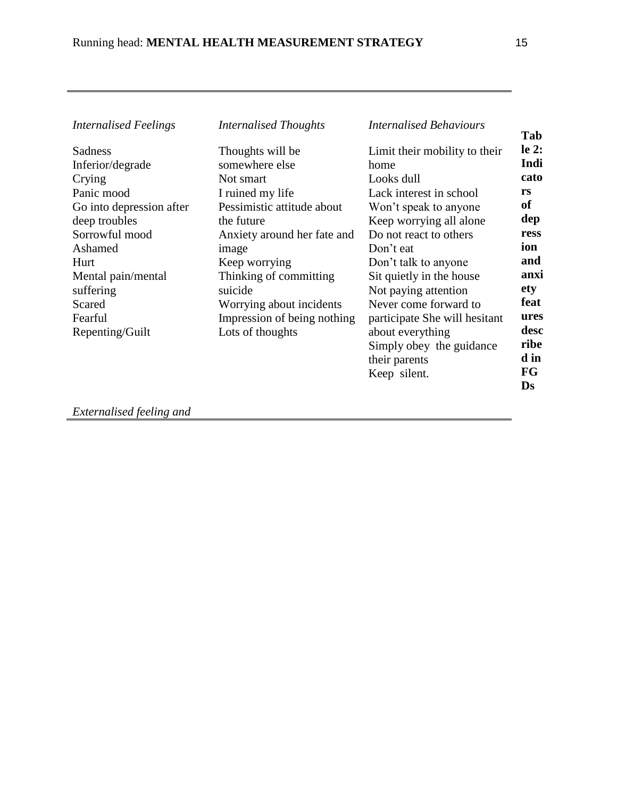| <b>Internalised Feelings</b> | <b>Internalised Thoughts</b> | <b>Internalised Behaviours</b> |
|------------------------------|------------------------------|--------------------------------|
| Sadness                      | Thoughts will be             | Limit their mobility to their  |
| Inferior/degrade             | somewhere else               | home                           |
| Crying                       | Not smart                    | Looks dull                     |
| Panic mood                   | I ruined my life             | Lack interest in school        |
| Go into depression after     | Pessimistic attitude about   | Won't speak to anyone          |
| deep troubles                | the future                   | Keep worrying all alone        |
| Sorrowful mood               | Anxiety around her fate and  | Do not react to others         |
| Ashamed                      | image                        | Don't eat                      |
| Hurt                         | Keep worrying                | Don't talk to anyone           |
| Mental pain/mental           | Thinking of committing       | Sit quietly in the house       |
| suffering                    | suicide                      | Not paying attention           |
| Scared                       | Worrying about incidents     | Never come forward to          |
| Fearful                      | Impression of being nothing  | participate She will hesitant  |
| Repenting/Guilt              | Lots of thoughts             | about everything               |
|                              |                              | Simply obey the guidance       |
|                              |                              | their parents                  |
|                              |                              | Keep silent.                   |
|                              |                              |                                |

*Externalised feeling and*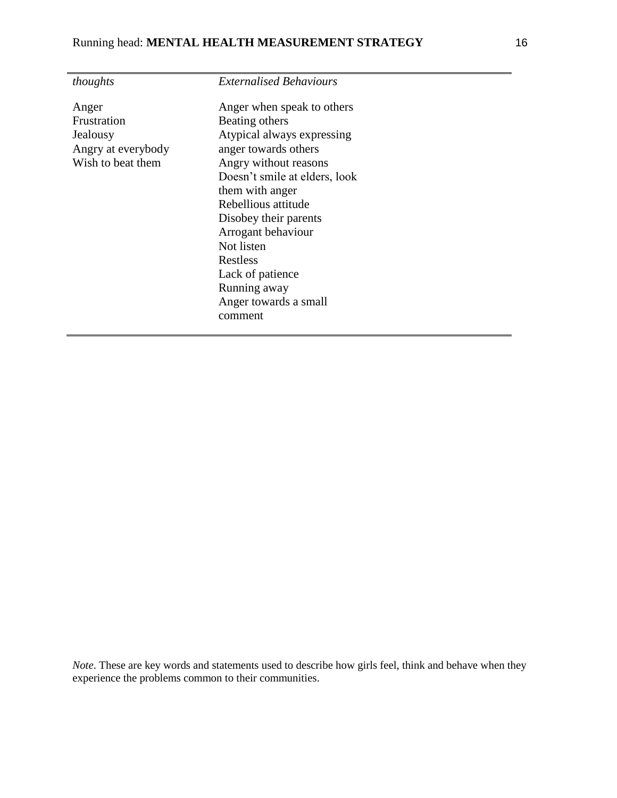| thoughts           | <b>Externalised Behaviours</b> |
|--------------------|--------------------------------|
| Anger              | Anger when speak to others     |
| Frustration        | Beating others                 |
| Jealousy           | Atypical always expressing     |
| Angry at everybody | anger towards others           |
| Wish to beat them  | Angry without reasons          |
|                    | Doesn't smile at elders, look  |
|                    | them with anger                |
|                    | Rebellious attitude            |
|                    | Disobey their parents          |
|                    | Arrogant behaviour             |
|                    | Not listen                     |
|                    | Restless                       |
|                    | Lack of patience               |
|                    | Running away                   |
|                    | Anger towards a small          |
|                    | comment                        |
|                    |                                |

*Note*. These are key words and statements used to describe how girls feel, think and behave when they experience the problems common to their communities.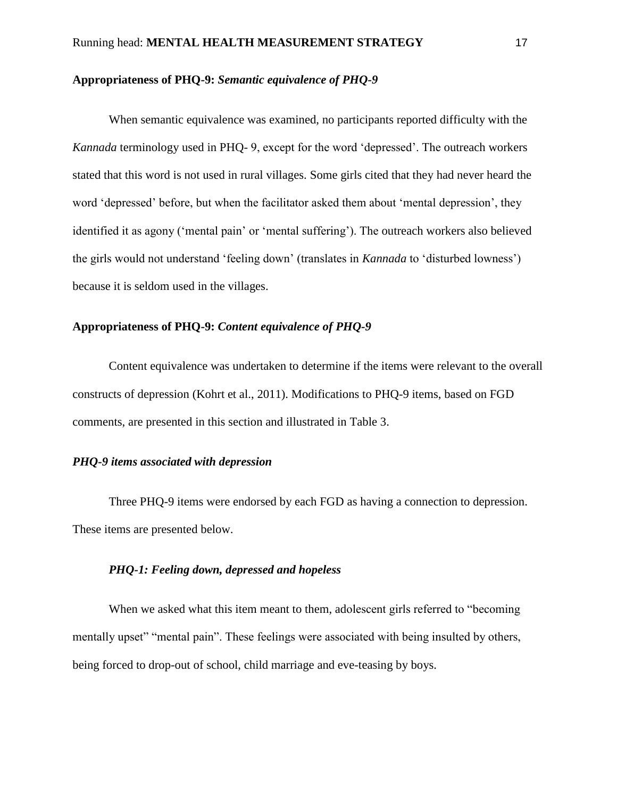# **Appropriateness of PHQ-9:** *Semantic equivalence of PHQ-9*

When semantic equivalence was examined, no participants reported difficulty with the *Kannada* terminology used in PHQ- 9, except for the word 'depressed'. The outreach workers stated that this word is not used in rural villages. Some girls cited that they had never heard the word 'depressed' before, but when the facilitator asked them about 'mental depression', they identified it as agony ('mental pain' or 'mental suffering'). The outreach workers also believed the girls would not understand 'feeling down' (translates in *Kannada* to 'disturbed lowness') because it is seldom used in the villages.

#### **Appropriateness of PHQ-9:** *Content equivalence of PHQ-9*

Content equivalence was undertaken to determine if the items were relevant to the overall constructs of depression (Kohrt et al., 2011). Modifications to PHQ-9 items, based on FGD comments, are presented in this section and illustrated in Table 3.

# *PHQ-9 items associated with depression*

Three PHQ-9 items were endorsed by each FGD as having a connection to depression. These items are presented below.

## *PHQ-1: Feeling down, depressed and hopeless*

When we asked what this item meant to them, adolescent girls referred to "becoming mentally upset" "mental pain". These feelings were associated with being insulted by others, being forced to drop-out of school, child marriage and eve-teasing by boys.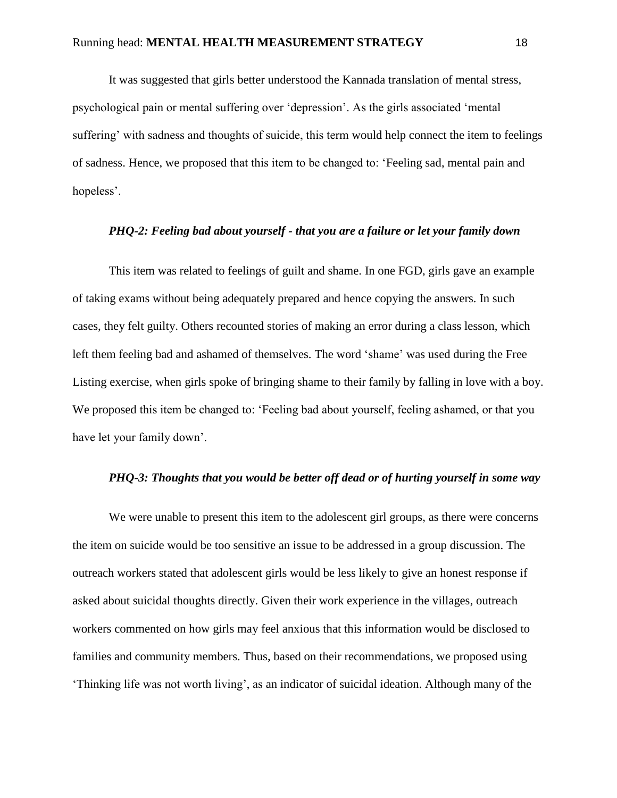It was suggested that girls better understood the Kannada translation of mental stress, psychological pain or mental suffering over 'depression'. As the girls associated 'mental suffering' with sadness and thoughts of suicide, this term would help connect the item to feelings of sadness. Hence, we proposed that this item to be changed to: 'Feeling sad, mental pain and hopeless'.

#### *PHQ-2: Feeling bad about yourself - that you are a failure or let your family down*

This item was related to feelings of guilt and shame. In one FGD, girls gave an example of taking exams without being adequately prepared and hence copying the answers. In such cases, they felt guilty. Others recounted stories of making an error during a class lesson, which left them feeling bad and ashamed of themselves. The word 'shame' was used during the Free Listing exercise, when girls spoke of bringing shame to their family by falling in love with a boy. We proposed this item be changed to: 'Feeling bad about yourself, feeling ashamed, or that you have let your family down'.

# *PHQ-3: Thoughts that you would be better off dead or of hurting yourself in some way*

We were unable to present this item to the adolescent girl groups, as there were concerns the item on suicide would be too sensitive an issue to be addressed in a group discussion. The outreach workers stated that adolescent girls would be less likely to give an honest response if asked about suicidal thoughts directly. Given their work experience in the villages, outreach workers commented on how girls may feel anxious that this information would be disclosed to families and community members. Thus, based on their recommendations, we proposed using 'Thinking life was not worth living', as an indicator of suicidal ideation. Although many of the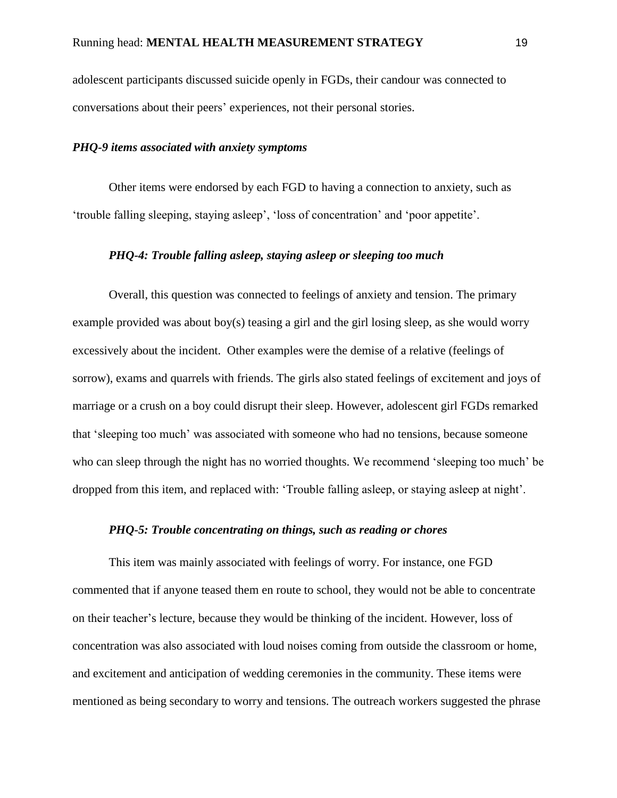adolescent participants discussed suicide openly in FGDs, their candour was connected to conversations about their peers' experiences, not their personal stories.

#### *PHQ-9 items associated with anxiety symptoms*

Other items were endorsed by each FGD to having a connection to anxiety, such as 'trouble falling sleeping, staying asleep', 'loss of concentration' and 'poor appetite'.

# *PHQ-4: Trouble falling asleep, staying asleep or sleeping too much*

Overall, this question was connected to feelings of anxiety and tension. The primary example provided was about boy(s) teasing a girl and the girl losing sleep, as she would worry excessively about the incident. Other examples were the demise of a relative (feelings of sorrow), exams and quarrels with friends. The girls also stated feelings of excitement and joys of marriage or a crush on a boy could disrupt their sleep. However, adolescent girl FGDs remarked that 'sleeping too much' was associated with someone who had no tensions, because someone who can sleep through the night has no worried thoughts. We recommend 'sleeping too much' be dropped from this item, and replaced with: 'Trouble falling asleep, or staying asleep at night'.

#### *PHQ-5: Trouble concentrating on things, such as reading or chores*

This item was mainly associated with feelings of worry. For instance, one FGD commented that if anyone teased them en route to school, they would not be able to concentrate on their teacher's lecture, because they would be thinking of the incident. However, loss of concentration was also associated with loud noises coming from outside the classroom or home, and excitement and anticipation of wedding ceremonies in the community. These items were mentioned as being secondary to worry and tensions. The outreach workers suggested the phrase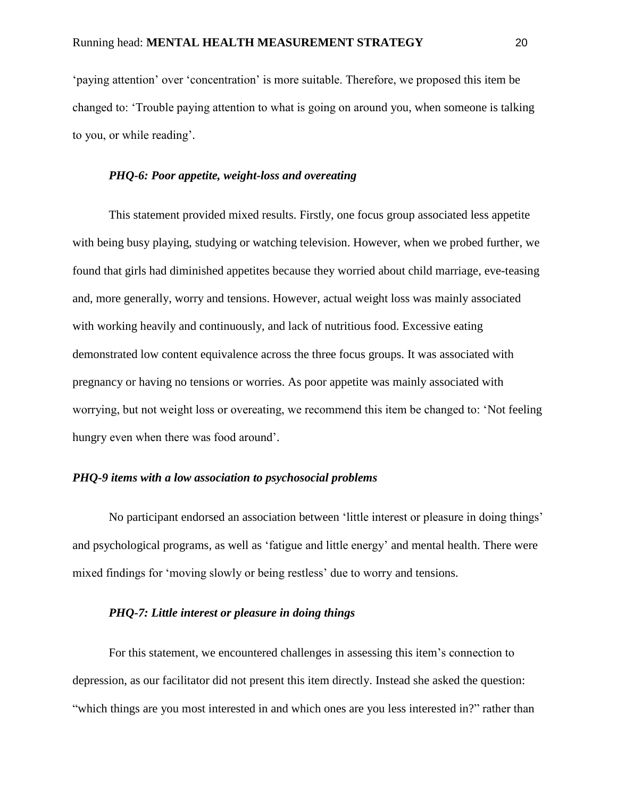'paying attention' over 'concentration' is more suitable. Therefore, we proposed this item be changed to: 'Trouble paying attention to what is going on around you, when someone is talking to you, or while reading'.

# *PHQ-6: Poor appetite, weight-loss and overeating*

This statement provided mixed results. Firstly, one focus group associated less appetite with being busy playing, studying or watching television. However, when we probed further, we found that girls had diminished appetites because they worried about child marriage, eve-teasing and, more generally, worry and tensions. However, actual weight loss was mainly associated with working heavily and continuously, and lack of nutritious food. Excessive eating demonstrated low content equivalence across the three focus groups. It was associated with pregnancy or having no tensions or worries. As poor appetite was mainly associated with worrying, but not weight loss or overeating, we recommend this item be changed to: 'Not feeling hungry even when there was food around'.

# *PHQ-9 items with a low association to psychosocial problems*

No participant endorsed an association between 'little interest or pleasure in doing things' and psychological programs, as well as 'fatigue and little energy' and mental health. There were mixed findings for 'moving slowly or being restless' due to worry and tensions.

#### *PHQ-7: Little interest or pleasure in doing things*

For this statement, we encountered challenges in assessing this item's connection to depression, as our facilitator did not present this item directly. Instead she asked the question: "which things are you most interested in and which ones are you less interested in?" rather than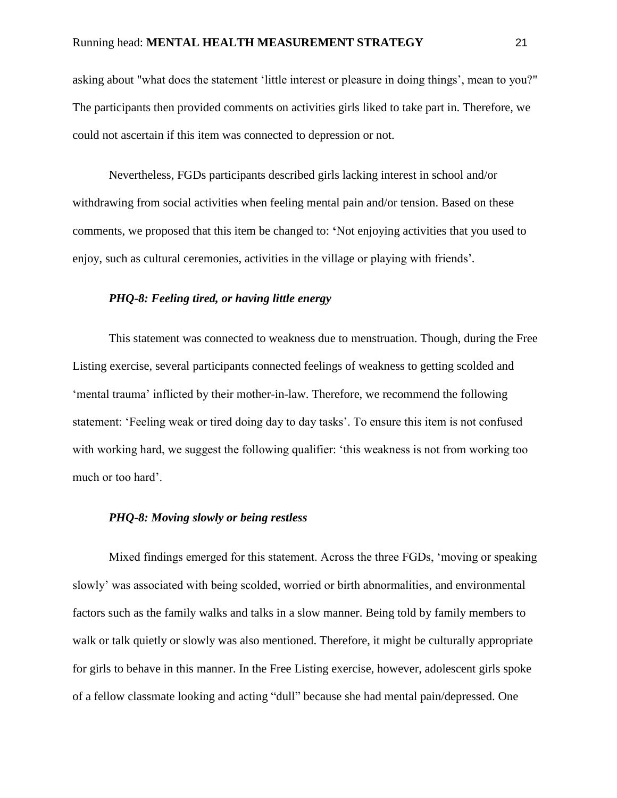asking about "what does the statement 'little interest or pleasure in doing things', mean to you?" The participants then provided comments on activities girls liked to take part in. Therefore, we could not ascertain if this item was connected to depression or not.

Nevertheless, FGDs participants described girls lacking interest in school and/or withdrawing from social activities when feeling mental pain and/or tension. Based on these comments, we proposed that this item be changed to: **'**Not enjoying activities that you used to enjoy, such as cultural ceremonies, activities in the village or playing with friends'*.*

# *PHQ-8: Feeling tired, or having little energy*

This statement was connected to weakness due to menstruation. Though, during the Free Listing exercise, several participants connected feelings of weakness to getting scolded and 'mental trauma' inflicted by their mother-in-law. Therefore, we recommend the following statement: 'Feeling weak or tired doing day to day tasks'. To ensure this item is not confused with working hard, we suggest the following qualifier: 'this weakness is not from working too much or too hard'.

# *PHQ-8: Moving slowly or being restless*

Mixed findings emerged for this statement. Across the three FGDs, 'moving or speaking slowly' was associated with being scolded, worried or birth abnormalities, and environmental factors such as the family walks and talks in a slow manner. Being told by family members to walk or talk quietly or slowly was also mentioned. Therefore, it might be culturally appropriate for girls to behave in this manner. In the Free Listing exercise, however, adolescent girls spoke of a fellow classmate looking and acting "dull" because she had mental pain/depressed. One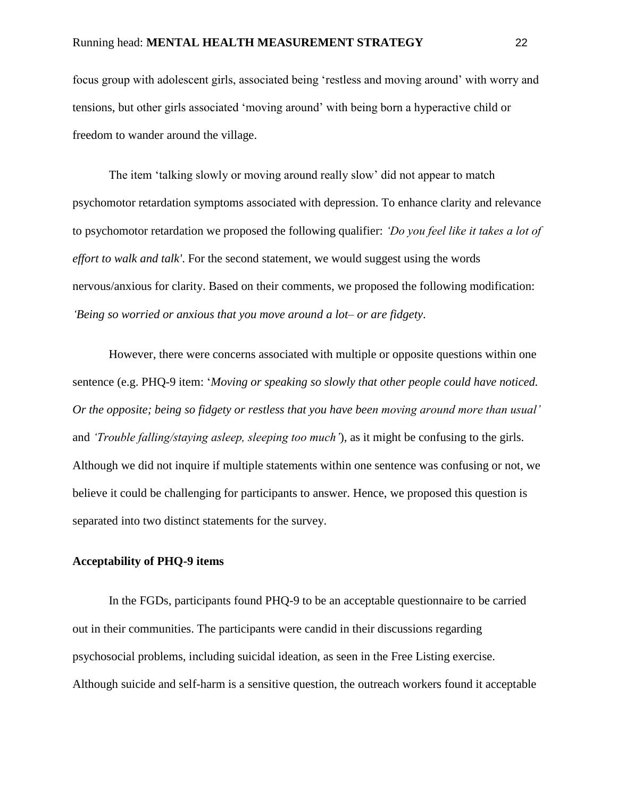focus group with adolescent girls, associated being 'restless and moving around' with worry and tensions, but other girls associated 'moving around' with being born a hyperactive child or freedom to wander around the village.

The item 'talking slowly or moving around really slow' did not appear to match psychomotor retardation symptoms associated with depression. To enhance clarity and relevance to psychomotor retardation we proposed the following qualifier: *'Do you feel like it takes a lot of effort to walk and talk'*. For the second statement, we would suggest using the words nervous/anxious for clarity. Based on their comments, we proposed the following modification: *'Being so worried or anxious that you move around a lot– or are fidgety*.

However, there were concerns associated with multiple or opposite questions within one sentence (e.g. PHQ-9 item: '*Moving or speaking so slowly that other people could have noticed. Or the opposite; being so fidgety or restless that you have been moving around more than usual'*  and *'Trouble falling/staying asleep, sleeping too much'*), as it might be confusing to the girls. Although we did not inquire if multiple statements within one sentence was confusing or not, we believe it could be challenging for participants to answer. Hence, we proposed this question is separated into two distinct statements for the survey.

### **Acceptability of PHQ-9 items**

In the FGDs, participants found PHQ-9 to be an acceptable questionnaire to be carried out in their communities. The participants were candid in their discussions regarding psychosocial problems, including suicidal ideation, as seen in the Free Listing exercise. Although suicide and self-harm is a sensitive question, the outreach workers found it acceptable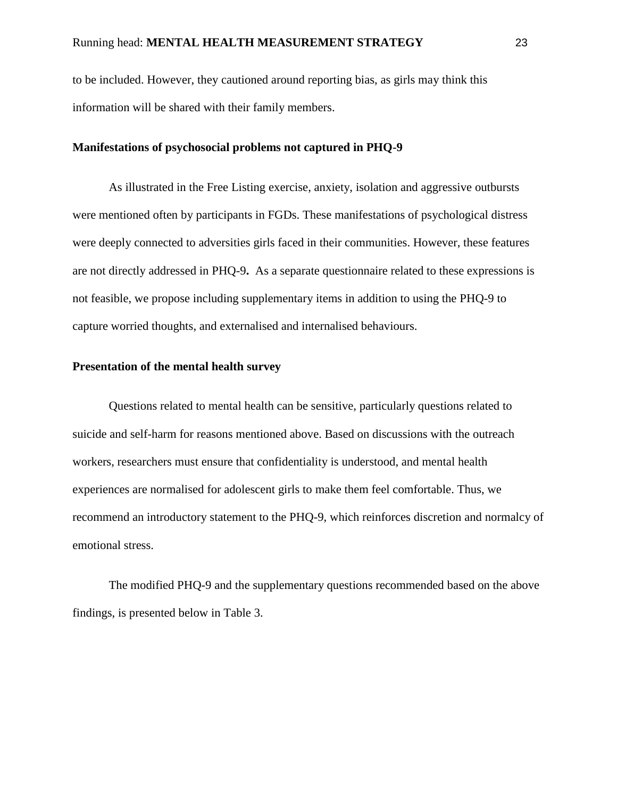to be included. However, they cautioned around reporting bias, as girls may think this information will be shared with their family members.

#### **Manifestations of psychosocial problems not captured in PHQ-9**

As illustrated in the Free Listing exercise, anxiety, isolation and aggressive outbursts were mentioned often by participants in FGDs. These manifestations of psychological distress were deeply connected to adversities girls faced in their communities. However, these features are not directly addressed in PHQ-9**.** As a separate questionnaire related to these expressions is not feasible, we propose including supplementary items in addition to using the PHQ-9 to capture worried thoughts, and externalised and internalised behaviours.

# **Presentation of the mental health survey**

Questions related to mental health can be sensitive, particularly questions related to suicide and self-harm for reasons mentioned above. Based on discussions with the outreach workers, researchers must ensure that confidentiality is understood, and mental health experiences are normalised for adolescent girls to make them feel comfortable. Thus, we recommend an introductory statement to the PHQ-9, which reinforces discretion and normalcy of emotional stress.

The modified PHQ-9 and the supplementary questions recommended based on the above findings, is presented below in Table 3.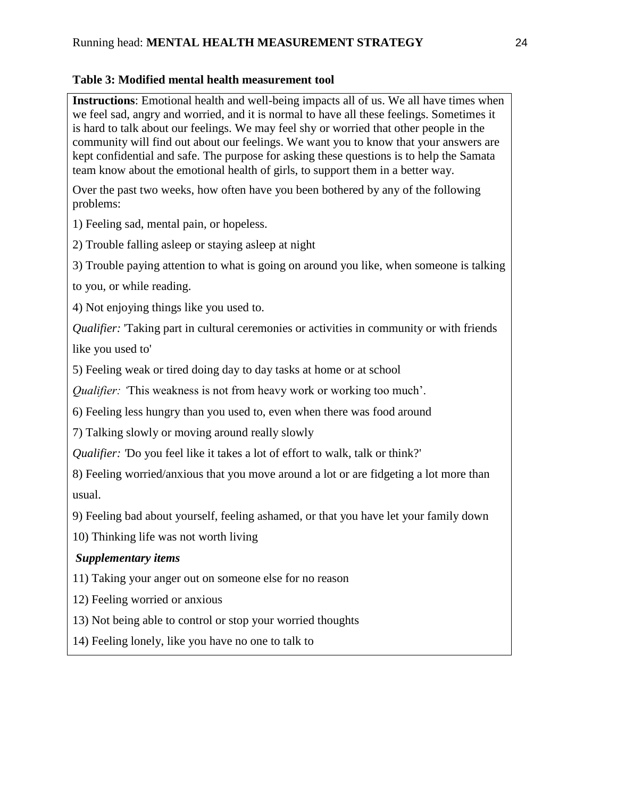# **Table 3: Modified mental health measurement tool**

**Instructions**: Emotional health and well-being impacts all of us. We all have times when we feel sad, angry and worried, and it is normal to have all these feelings. Sometimes it is hard to talk about our feelings. We may feel shy or worried that other people in the community will find out about our feelings. We want you to know that your answers are kept confidential and safe. The purpose for asking these questions is to help the Samata team know about the emotional health of girls, to support them in a better way.

Over the past two weeks, how often have you been bothered by any of the following problems:

1) Feeling sad, mental pain, or hopeless.

2) Trouble falling asleep or staying asleep at night

3) Trouble paying attention to what is going on around you like, when someone is talking

to you, or while reading.

4) Not enjoying things like you used to.

*Qualifier:* 'Taking part in cultural ceremonies or activities in community or with friends

like you used to'

5) Feeling weak or tired doing day to day tasks at home or at school

*Qualifier:* This weakness is not from heavy work or working too much'.

6) Feeling less hungry than you used to, even when there was food around

7) Talking slowly or moving around really slowly

*Qualifier:* 'Do you feel like it takes a lot of effort to walk, talk or think?'

8) Feeling worried/anxious that you move around a lot or are fidgeting a lot more than usual.

9) Feeling bad about yourself, feeling ashamed, or that you have let your family down

10) Thinking life was not worth living

# *Supplementary items*

11) Taking your anger out on someone else for no reason

12) Feeling worried or anxious

13) Not being able to control or stop your worried thoughts

14) Feeling lonely, like you have no one to talk to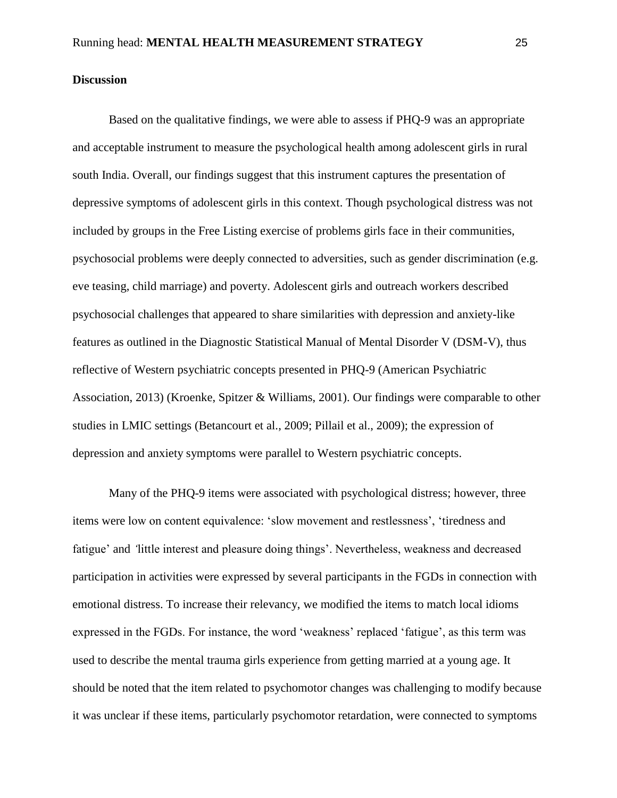# **Discussion**

Based on the qualitative findings, we were able to assess if PHQ-9 was an appropriate and acceptable instrument to measure the psychological health among adolescent girls in rural south India. Overall, our findings suggest that this instrument captures the presentation of depressive symptoms of adolescent girls in this context. Though psychological distress was not included by groups in the Free Listing exercise of problems girls face in their communities, psychosocial problems were deeply connected to adversities, such as gender discrimination (e.g. eve teasing, child marriage) and poverty. Adolescent girls and outreach workers described psychosocial challenges that appeared to share similarities with depression and anxiety-like features as outlined in the Diagnostic Statistical Manual of Mental Disorder V (DSM-V), thus reflective of Western psychiatric concepts presented in PHQ-9 (American Psychiatric Association, 2013) (Kroenke, Spitzer & Williams, 2001). Our findings were comparable to other studies in LMIC settings (Betancourt et al., 2009; Pillail et al., 2009); the expression of depression and anxiety symptoms were parallel to Western psychiatric concepts.

Many of the PHQ-9 items were associated with psychological distress; however, three items were low on content equivalence: 'slow movement and restlessness', 'tiredness and fatigue' and *'*little interest and pleasure doing things'. Nevertheless, weakness and decreased participation in activities were expressed by several participants in the FGDs in connection with emotional distress. To increase their relevancy, we modified the items to match local idioms expressed in the FGDs. For instance, the word 'weakness' replaced 'fatigue', as this term was used to describe the mental trauma girls experience from getting married at a young age. It should be noted that the item related to psychomotor changes was challenging to modify because it was unclear if these items, particularly psychomotor retardation, were connected to symptoms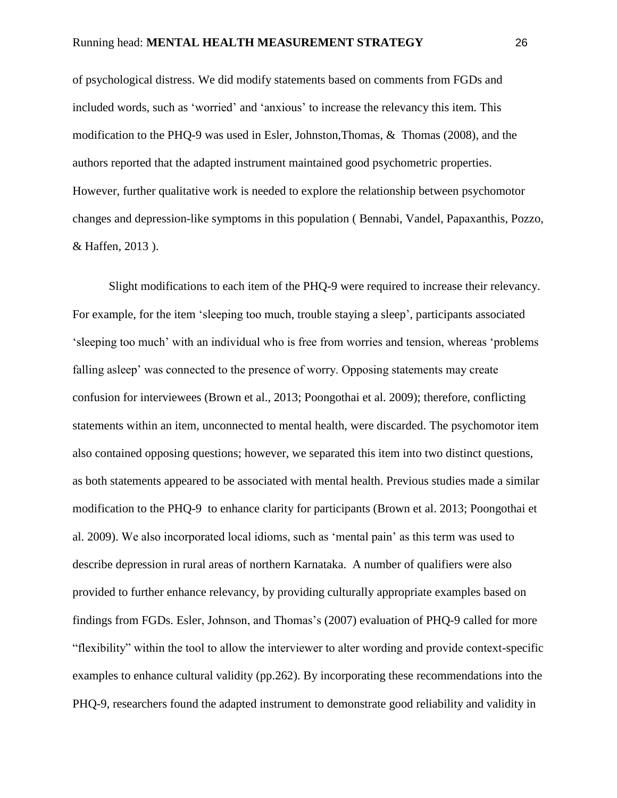of psychological distress. We did modify statements based on comments from FGDs and included words, such as 'worried' and 'anxious' to increase the relevancy this item*.* This modification to the PHQ-9 was used in Esler, Johnston,Thomas, & Thomas (2008), and the authors reported that the adapted instrument maintained good psychometric properties. However, further qualitative work is needed to explore the relationship between psychomotor changes and depression-like symptoms in this population ( Bennabi, Vandel, Papaxanthis, Pozzo, & Haffen, 2013 ).

Slight modifications to each item of the PHQ-9 were required to increase their relevancy. For example, for the item 'sleeping too much, trouble staying a sleep', participants associated 'sleeping too much' with an individual who is free from worries and tension, whereas 'problems falling asleep' was connected to the presence of worry. Opposing statements may create confusion for interviewees (Brown et al., 2013; Poongothai et al. 2009); therefore, conflicting statements within an item, unconnected to mental health, were discarded. The psychomotor item also contained opposing questions; however, we separated this item into two distinct questions, as both statements appeared to be associated with mental health. Previous studies made a similar modification to the PHQ-9 to enhance clarity for participants (Brown et al. 2013; Poongothai et al. 2009). We also incorporated local idioms, such as 'mental pain' as this term was used to describe depression in rural areas of northern Karnataka. A number of qualifiers were also provided to further enhance relevancy, by providing culturally appropriate examples based on findings from FGDs. Esler, Johnson, and Thomas's (2007) evaluation of PHQ-9 called for more "flexibility" within the tool to allow the interviewer to alter wording and provide context-specific examples to enhance cultural validity (pp.262). By incorporating these recommendations into the PHQ-9, researchers found the adapted instrument to demonstrate good reliability and validity in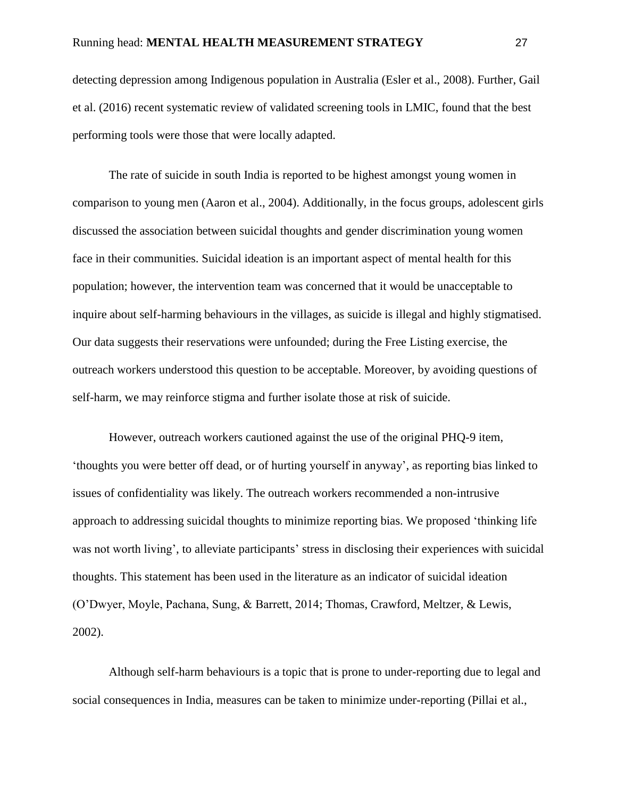detecting depression among Indigenous population in Australia (Esler et al., 2008). Further, Gail et al. (2016) recent systematic review of validated screening tools in LMIC, found that the best performing tools were those that were locally adapted.

The rate of suicide in south India is reported to be highest amongst young women in comparison to young men (Aaron et al., 2004). Additionally, in the focus groups, adolescent girls discussed the association between suicidal thoughts and gender discrimination young women face in their communities. Suicidal ideation is an important aspect of mental health for this population; however, the intervention team was concerned that it would be unacceptable to inquire about self-harming behaviours in the villages, as suicide is illegal and highly stigmatised. Our data suggests their reservations were unfounded; during the Free Listing exercise, the outreach workers understood this question to be acceptable. Moreover, by avoiding questions of self-harm, we may reinforce stigma and further isolate those at risk of suicide.

However, outreach workers cautioned against the use of the original PHQ-9 item, 'thoughts you were better off dead, or of hurting yourself in anyway', as reporting bias linked to issues of confidentiality was likely. The outreach workers recommended a non-intrusive approach to addressing suicidal thoughts to minimize reporting bias. We proposed 'thinking life was not worth living', to alleviate participants' stress in disclosing their experiences with suicidal thoughts. This statement has been used in the literature as an indicator of suicidal ideation (O'Dwyer, Moyle, Pachana, Sung, & Barrett, 2014; Thomas, Crawford, Meltzer, & Lewis, 2002).

Although self-harm behaviours is a topic that is prone to under-reporting due to legal and social consequences in India, measures can be taken to minimize under-reporting (Pillai et al.,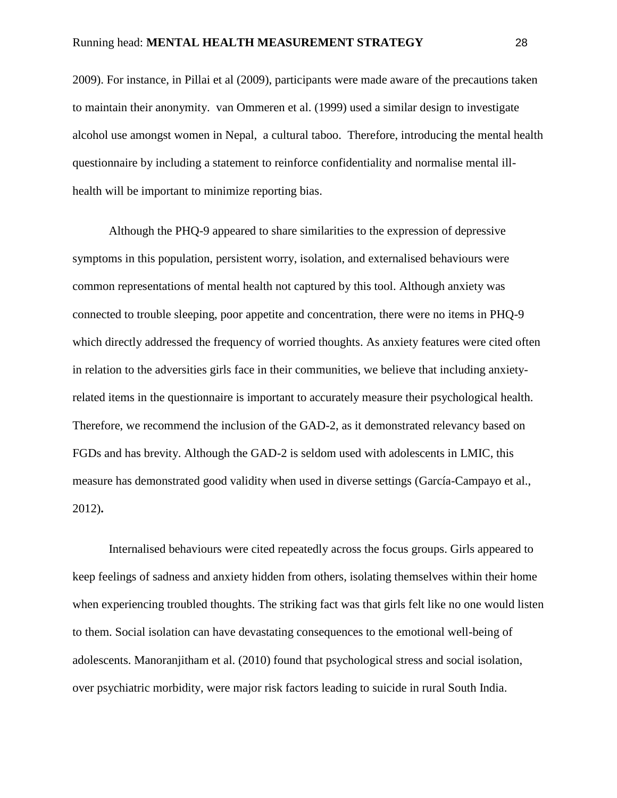2009). For instance, in Pillai et al (2009), participants were made aware of the precautions taken to maintain their anonymity. van Ommeren et al. (1999) used a similar design to investigate alcohol use amongst women in Nepal, a cultural taboo. Therefore, introducing the mental health questionnaire by including a statement to reinforce confidentiality and normalise mental illhealth will be important to minimize reporting bias.

Although the PHQ-9 appeared to share similarities to the expression of depressive symptoms in this population, persistent worry, isolation, and externalised behaviours were common representations of mental health not captured by this tool. Although anxiety was connected to trouble sleeping, poor appetite and concentration, there were no items in PHQ-9 which directly addressed the frequency of worried thoughts. As anxiety features were cited often in relation to the adversities girls face in their communities, we believe that including anxietyrelated items in the questionnaire is important to accurately measure their psychological health. Therefore, we recommend the inclusion of the GAD-2, as it demonstrated relevancy based on FGDs and has brevity. Although the GAD-2 is seldom used with adolescents in LMIC, this measure has demonstrated good validity when used in diverse settings (García-Campayo et al., 2012)**.**

Internalised behaviours were cited repeatedly across the focus groups. Girls appeared to keep feelings of sadness and anxiety hidden from others, isolating themselves within their home when experiencing troubled thoughts. The striking fact was that girls felt like no one would listen to them. Social isolation can have devastating consequences to the emotional well-being of adolescents. Manoranjitham et al. (2010) found that psychological stress and social isolation, over psychiatric morbidity, were major risk factors leading to suicide in rural South India.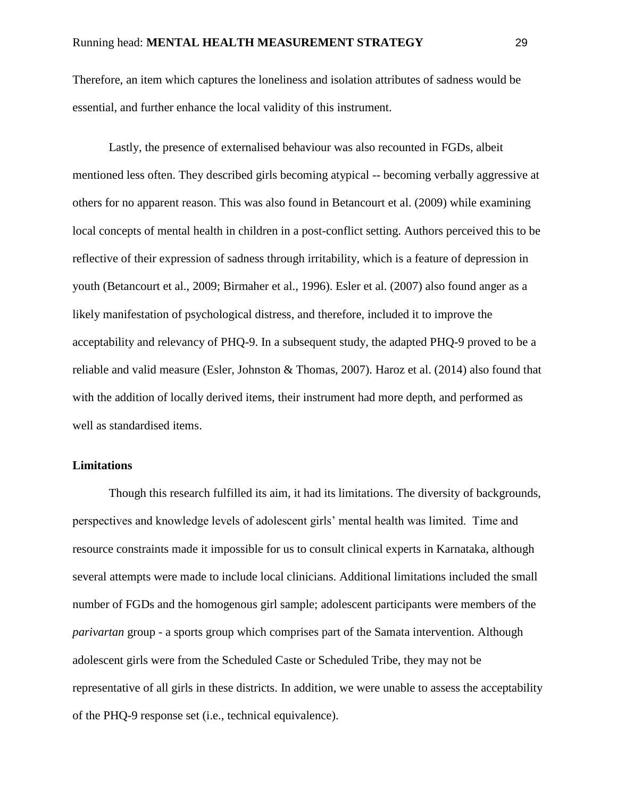Therefore, an item which captures the loneliness and isolation attributes of sadness would be essential, and further enhance the local validity of this instrument.

Lastly, the presence of externalised behaviour was also recounted in FGDs, albeit mentioned less often. They described girls becoming atypical -- becoming verbally aggressive at others for no apparent reason. This was also found in Betancourt et al. (2009) while examining local concepts of mental health in children in a post-conflict setting. Authors perceived this to be reflective of their expression of sadness through irritability, which is a feature of depression in youth (Betancourt et al., 2009; Birmaher et al., 1996). Esler et al. (2007) also found anger as a likely manifestation of psychological distress, and therefore, included it to improve the acceptability and relevancy of PHQ-9. In a subsequent study, the adapted PHQ-9 proved to be a reliable and valid measure (Esler, Johnston & Thomas, 2007). Haroz et al. (2014) also found that with the addition of locally derived items, their instrument had more depth, and performed as well as standardised items.

### **Limitations**

Though this research fulfilled its aim, it had its limitations. The diversity of backgrounds, perspectives and knowledge levels of adolescent girls' mental health was limited. Time and resource constraints made it impossible for us to consult clinical experts in Karnataka, although several attempts were made to include local clinicians. Additional limitations included the small number of FGDs and the homogenous girl sample; adolescent participants were members of the *parivartan* group - a sports group which comprises part of the Samata intervention. Although adolescent girls were from the Scheduled Caste or Scheduled Tribe, they may not be representative of all girls in these districts. In addition, we were unable to assess the acceptability of the PHQ-9 response set (i.e., technical equivalence).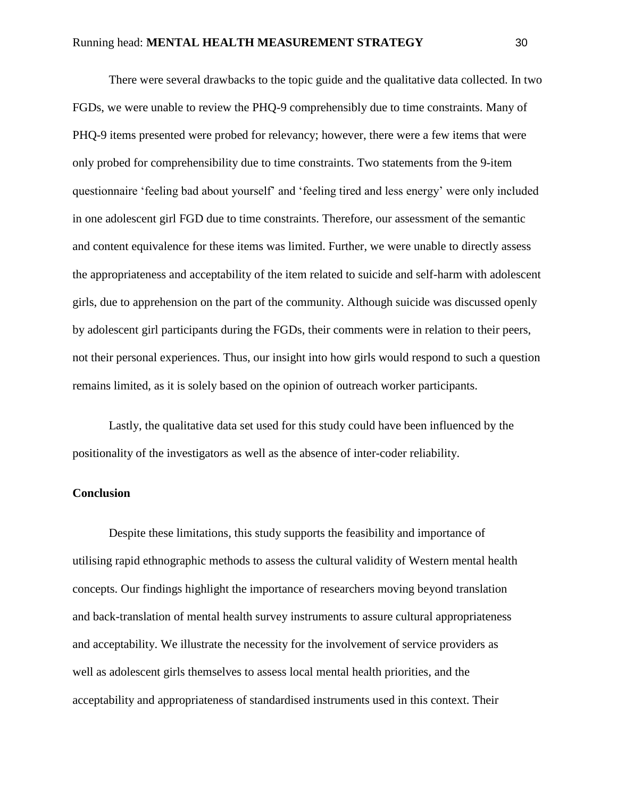There were several drawbacks to the topic guide and the qualitative data collected. In two FGDs, we were unable to review the PHQ-9 comprehensibly due to time constraints. Many of PHQ-9 items presented were probed for relevancy; however, there were a few items that were only probed for comprehensibility due to time constraints. Two statements from the 9-item questionnaire 'feeling bad about yourself' and 'feeling tired and less energy' were only included in one adolescent girl FGD due to time constraints. Therefore, our assessment of the semantic and content equivalence for these items was limited. Further, we were unable to directly assess the appropriateness and acceptability of the item related to suicide and self-harm with adolescent girls, due to apprehension on the part of the community. Although suicide was discussed openly by adolescent girl participants during the FGDs, their comments were in relation to their peers, not their personal experiences. Thus, our insight into how girls would respond to such a question remains limited, as it is solely based on the opinion of outreach worker participants.

Lastly, the qualitative data set used for this study could have been influenced by the positionality of the investigators as well as the absence of inter-coder reliability.

# **Conclusion**

Despite these limitations, this study supports the feasibility and importance of utilising rapid ethnographic methods to assess the cultural validity of Western mental health concepts. Our findings highlight the importance of researchers moving beyond translation and back-translation of mental health survey instruments to assure cultural appropriateness and acceptability. We illustrate the necessity for the involvement of service providers as well as adolescent girls themselves to assess local mental health priorities, and the acceptability and appropriateness of standardised instruments used in this context. Their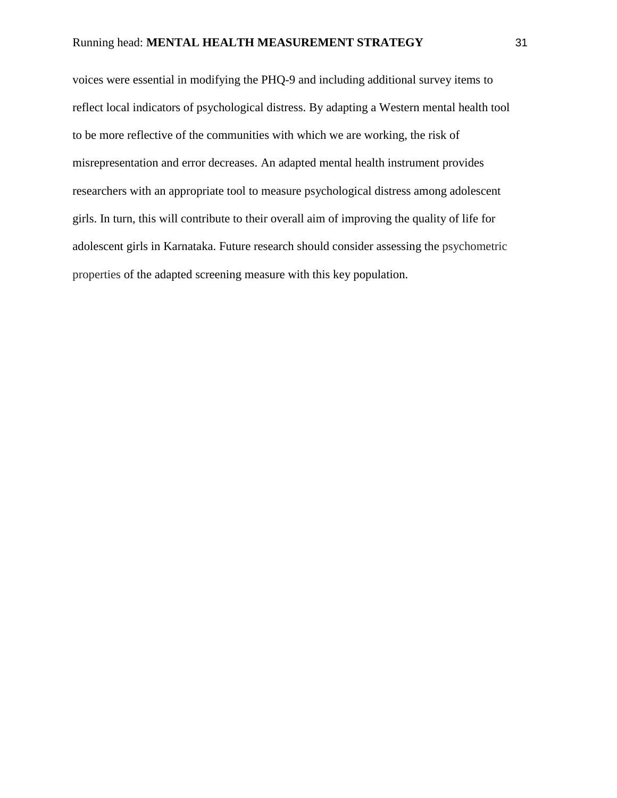voices were essential in modifying the PHQ-9 and including additional survey items to reflect local indicators of psychological distress. By adapting a Western mental health tool to be more reflective of the communities with which we are working, the risk of misrepresentation and error decreases. An adapted mental health instrument provides researchers with an appropriate tool to measure psychological distress among adolescent girls. In turn, this will contribute to their overall aim of improving the quality of life for adolescent girls in Karnataka. Future research should consider assessing the psychometric properties of the adapted screening measure with this key population.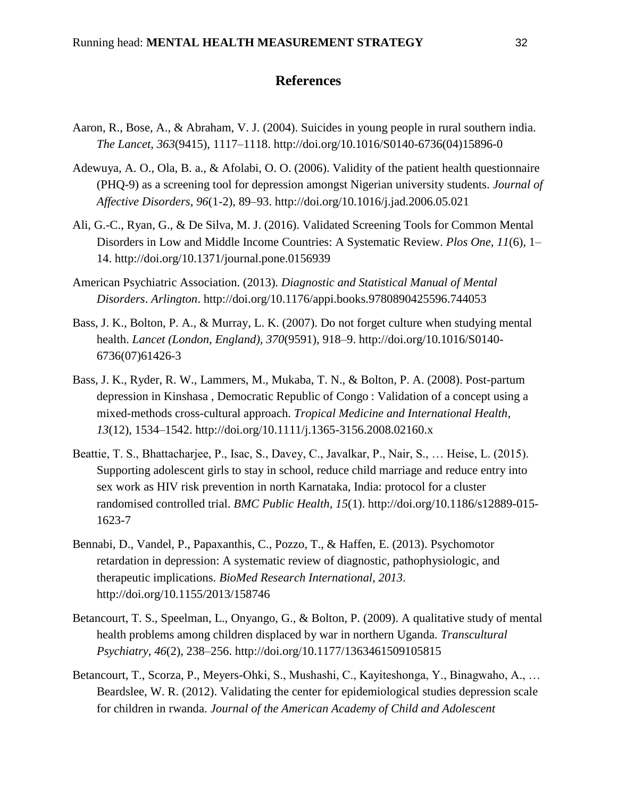# **References**

- Aaron, R., Bose, A., & Abraham, V. J. (2004). Suicides in young people in rural southern india. *The Lancet*, *363*(9415), 1117–1118. http://doi.org/10.1016/S0140-6736(04)15896-0
- Adewuya, A. O., Ola, B. a., & Afolabi, O. O. (2006). Validity of the patient health questionnaire (PHQ-9) as a screening tool for depression amongst Nigerian university students. *Journal of Affective Disorders*, *96*(1-2), 89–93. http://doi.org/10.1016/j.jad.2006.05.021
- Ali, G.-C., Ryan, G., & De Silva, M. J. (2016). Validated Screening Tools for Common Mental Disorders in Low and Middle Income Countries: A Systematic Review. *Plos One*, *11*(6), 1– 14. http://doi.org/10.1371/journal.pone.0156939
- American Psychiatric Association. (2013). *Diagnostic and Statistical Manual of Mental Disorders*. *Arlington*. http://doi.org/10.1176/appi.books.9780890425596.744053
- Bass, J. K., Bolton, P. A., & Murray, L. K. (2007). Do not forget culture when studying mental health. *Lancet (London, England)*, *370*(9591), 918–9. http://doi.org/10.1016/S0140- 6736(07)61426-3
- Bass, J. K., Ryder, R. W., Lammers, M., Mukaba, T. N., & Bolton, P. A. (2008). Post-partum depression in Kinshasa , Democratic Republic of Congo : Validation of a concept using a mixed-methods cross-cultural approach. *Tropical Medicine and International Health*, *13*(12), 1534–1542. http://doi.org/10.1111/j.1365-3156.2008.02160.x
- Beattie, T. S., Bhattacharjee, P., Isac, S., Davey, C., Javalkar, P., Nair, S., … Heise, L. (2015). Supporting adolescent girls to stay in school, reduce child marriage and reduce entry into sex work as HIV risk prevention in north Karnataka, India: protocol for a cluster randomised controlled trial. *BMC Public Health*, *15*(1). http://doi.org/10.1186/s12889-015- 1623-7
- Bennabi, D., Vandel, P., Papaxanthis, C., Pozzo, T., & Haffen, E. (2013). Psychomotor retardation in depression: A systematic review of diagnostic, pathophysiologic, and therapeutic implications. *BioMed Research International*, *2013*. http://doi.org/10.1155/2013/158746
- Betancourt, T. S., Speelman, L., Onyango, G., & Bolton, P. (2009). A qualitative study of mental health problems among children displaced by war in northern Uganda. *Transcultural Psychiatry*, *46*(2), 238–256. http://doi.org/10.1177/1363461509105815
- Betancourt, T., Scorza, P., Meyers-Ohki, S., Mushashi, C., Kayiteshonga, Y., Binagwaho, A., … Beardslee, W. R. (2012). Validating the center for epidemiological studies depression scale for children in rwanda. *Journal of the American Academy of Child and Adolescent*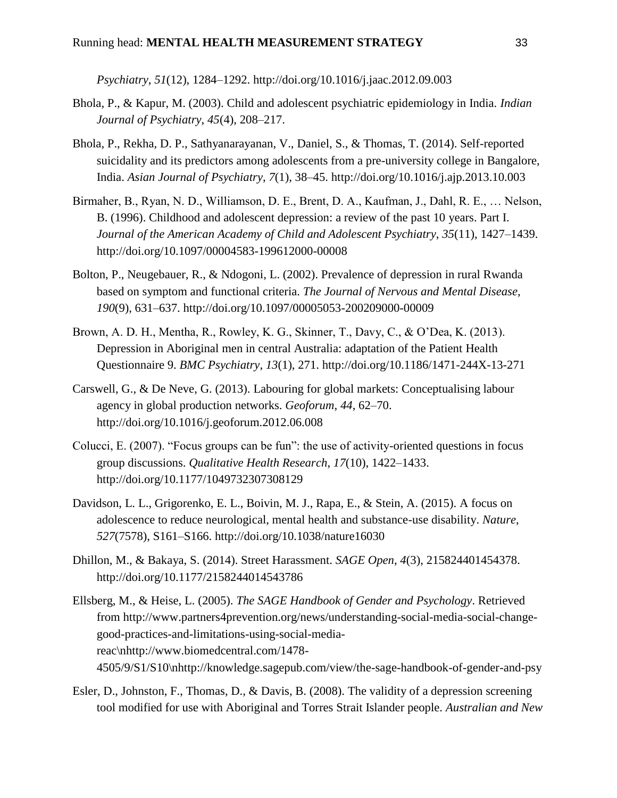*Psychiatry*, *51*(12), 1284–1292. http://doi.org/10.1016/j.jaac.2012.09.003

- Bhola, P., & Kapur, M. (2003). Child and adolescent psychiatric epidemiology in India. *Indian Journal of Psychiatry*, *45*(4), 208–217.
- Bhola, P., Rekha, D. P., Sathyanarayanan, V., Daniel, S., & Thomas, T. (2014). Self-reported suicidality and its predictors among adolescents from a pre-university college in Bangalore, India. *Asian Journal of Psychiatry*, *7*(1), 38–45. http://doi.org/10.1016/j.ajp.2013.10.003
- Birmaher, B., Ryan, N. D., Williamson, D. E., Brent, D. A., Kaufman, J., Dahl, R. E., … Nelson, B. (1996). Childhood and adolescent depression: a review of the past 10 years. Part I. *Journal of the American Academy of Child and Adolescent Psychiatry*, *35*(11), 1427–1439. http://doi.org/10.1097/00004583-199612000-00008
- Bolton, P., Neugebauer, R., & Ndogoni, L. (2002). Prevalence of depression in rural Rwanda based on symptom and functional criteria. *The Journal of Nervous and Mental Disease*, *190*(9), 631–637. http://doi.org/10.1097/00005053-200209000-00009
- Brown, A. D. H., Mentha, R., Rowley, K. G., Skinner, T., Davy, C., & O'Dea, K. (2013). Depression in Aboriginal men in central Australia: adaptation of the Patient Health Questionnaire 9. *BMC Psychiatry*, *13*(1), 271. http://doi.org/10.1186/1471-244X-13-271
- Carswell, G., & De Neve, G. (2013). Labouring for global markets: Conceptualising labour agency in global production networks. *Geoforum*, *44*, 62–70. http://doi.org/10.1016/j.geoforum.2012.06.008
- Colucci, E. (2007). "Focus groups can be fun": the use of activity-oriented questions in focus group discussions. *Qualitative Health Research*, *17*(10), 1422–1433. http://doi.org/10.1177/1049732307308129
- Davidson, L. L., Grigorenko, E. L., Boivin, M. J., Rapa, E., & Stein, A. (2015). A focus on adolescence to reduce neurological, mental health and substance-use disability. *Nature*, *527*(7578), S161–S166. http://doi.org/10.1038/nature16030
- Dhillon, M., & Bakaya, S. (2014). Street Harassment. *SAGE Open*, *4*(3), 215824401454378. http://doi.org/10.1177/2158244014543786
- Ellsberg, M., & Heise, L. (2005). *The SAGE Handbook of Gender and Psychology*. Retrieved from http://www.partners4prevention.org/news/understanding-social-media-social-changegood-practices-and-limitations-using-social-mediareac\nhttp://www.biomedcentral.com/1478- 4505/9/S1/S10\nhttp://knowledge.sagepub.com/view/the-sage-handbook-of-gender-and-psy
- Esler, D., Johnston, F., Thomas, D., & Davis, B. (2008). The validity of a depression screening tool modified for use with Aboriginal and Torres Strait Islander people. *Australian and New*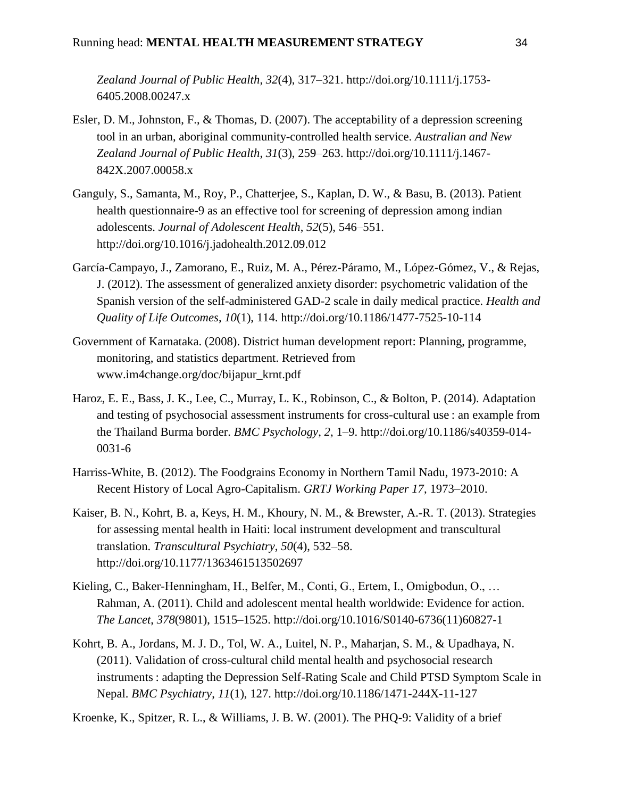*Zealand Journal of Public Health*, *32*(4), 317–321. http://doi.org/10.1111/j.1753- 6405.2008.00247.x

- Esler, D. M., Johnston, F., & Thomas, D. (2007). The acceptability of a depression screening tool in an urban, aboriginal community-controlled health service. *Australian and New Zealand Journal of Public Health*, *31*(3), 259–263. http://doi.org/10.1111/j.1467- 842X.2007.00058.x
- Ganguly, S., Samanta, M., Roy, P., Chatterjee, S., Kaplan, D. W., & Basu, B. (2013). Patient health questionnaire-9 as an effective tool for screening of depression among indian adolescents. *Journal of Adolescent Health*, *52*(5), 546–551. http://doi.org/10.1016/j.jadohealth.2012.09.012
- García-Campayo, J., Zamorano, E., Ruiz, M. A., Pérez-Páramo, M., López-Gómez, V., & Rejas, J. (2012). The assessment of generalized anxiety disorder: psychometric validation of the Spanish version of the self-administered GAD-2 scale in daily medical practice. *Health and Quality of Life Outcomes*, *10*(1), 114. http://doi.org/10.1186/1477-7525-10-114
- Government of Karnataka. (2008). District human development report: Planning, programme, monitoring, and statistics department. Retrieved from www.im4change.org/doc/bijapur\_krnt.pdf
- Haroz, E. E., Bass, J. K., Lee, C., Murray, L. K., Robinson, C., & Bolton, P. (2014). Adaptation and testing of psychosocial assessment instruments for cross-cultural use : an example from the Thailand Burma border. *BMC Psychology*, *2*, 1–9. http://doi.org/10.1186/s40359-014- 0031-6
- Harriss-White, B. (2012). The Foodgrains Economy in Northern Tamil Nadu, 1973-2010: A Recent History of Local Agro-Capitalism. *GRTJ Working Paper 17*, 1973–2010.
- Kaiser, B. N., Kohrt, B. a, Keys, H. M., Khoury, N. M., & Brewster, A.-R. T. (2013). Strategies for assessing mental health in Haiti: local instrument development and transcultural translation. *Transcultural Psychiatry*, *50*(4), 532–58. http://doi.org/10.1177/1363461513502697
- Kieling, C., Baker-Henningham, H., Belfer, M., Conti, G., Ertem, I., Omigbodun, O., … Rahman, A. (2011). Child and adolescent mental health worldwide: Evidence for action. *The Lancet*, *378*(9801), 1515–1525. http://doi.org/10.1016/S0140-6736(11)60827-1
- Kohrt, B. A., Jordans, M. J. D., Tol, W. A., Luitel, N. P., Maharjan, S. M., & Upadhaya, N. (2011). Validation of cross-cultural child mental health and psychosocial research instruments : adapting the Depression Self-Rating Scale and Child PTSD Symptom Scale in Nepal. *BMC Psychiatry*, *11*(1), 127. http://doi.org/10.1186/1471-244X-11-127

Kroenke, K., Spitzer, R. L., & Williams, J. B. W. (2001). The PHQ-9: Validity of a brief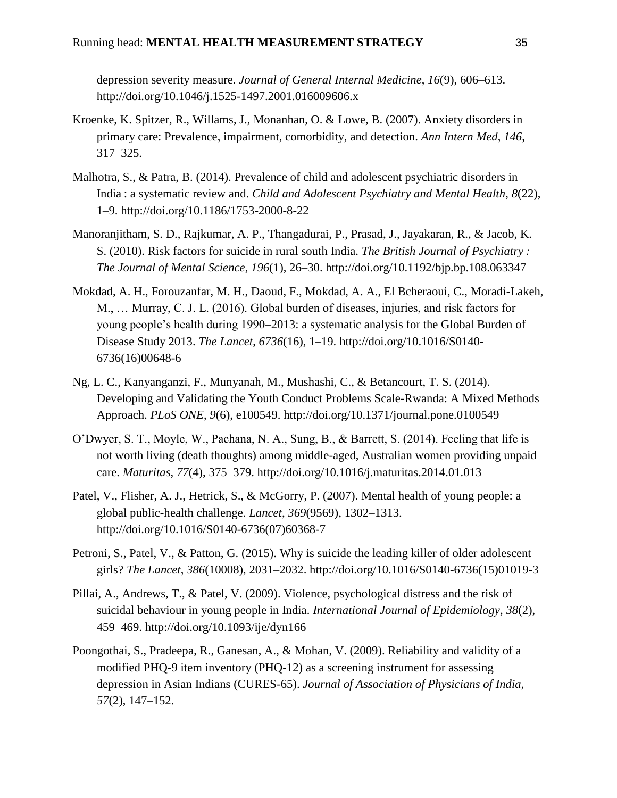depression severity measure. *Journal of General Internal Medicine*, *16*(9), 606–613. http://doi.org/10.1046/j.1525-1497.2001.016009606.x

- Kroenke, K. Spitzer, R., Willams, J., Monanhan, O. & Lowe, B. (2007). Anxiety disorders in primary care: Prevalence, impairment, comorbidity, and detection. *Ann Intern Med*, *146*, 317–325.
- Malhotra, S., & Patra, B. (2014). Prevalence of child and adolescent psychiatric disorders in India : a systematic review and. *Child and Adolescent Psychiatry and Mental Health*, *8*(22), 1–9. http://doi.org/10.1186/1753-2000-8-22
- Manoranjitham, S. D., Rajkumar, A. P., Thangadurai, P., Prasad, J., Jayakaran, R., & Jacob, K. S. (2010). Risk factors for suicide in rural south India. *The British Journal of Psychiatry : The Journal of Mental Science*, *196*(1), 26–30. http://doi.org/10.1192/bjp.bp.108.063347
- Mokdad, A. H., Forouzanfar, M. H., Daoud, F., Mokdad, A. A., El Bcheraoui, C., Moradi-Lakeh, M., … Murray, C. J. L. (2016). Global burden of diseases, injuries, and risk factors for young people's health during 1990–2013: a systematic analysis for the Global Burden of Disease Study 2013. *The Lancet*, *6736*(16), 1–19. http://doi.org/10.1016/S0140- 6736(16)00648-6
- Ng, L. C., Kanyanganzi, F., Munyanah, M., Mushashi, C., & Betancourt, T. S. (2014). Developing and Validating the Youth Conduct Problems Scale-Rwanda: A Mixed Methods Approach. *PLoS ONE*, *9*(6), e100549. http://doi.org/10.1371/journal.pone.0100549
- O'Dwyer, S. T., Moyle, W., Pachana, N. A., Sung, B., & Barrett, S. (2014). Feeling that life is not worth living (death thoughts) among middle-aged, Australian women providing unpaid care. *Maturitas*, *77*(4), 375–379. http://doi.org/10.1016/j.maturitas.2014.01.013
- Patel, V., Flisher, A. J., Hetrick, S., & McGorry, P. (2007). Mental health of young people: a global public-health challenge. *Lancet*, *369*(9569), 1302–1313. http://doi.org/10.1016/S0140-6736(07)60368-7
- Petroni, S., Patel, V., & Patton, G. (2015). Why is suicide the leading killer of older adolescent girls? *The Lancet*, *386*(10008), 2031–2032. http://doi.org/10.1016/S0140-6736(15)01019-3
- Pillai, A., Andrews, T., & Patel, V. (2009). Violence, psychological distress and the risk of suicidal behaviour in young people in India. *International Journal of Epidemiology*, *38*(2), 459–469. http://doi.org/10.1093/ije/dyn166
- Poongothai, S., Pradeepa, R., Ganesan, A., & Mohan, V. (2009). Reliability and validity of a modified PHQ-9 item inventory (PHQ-12) as a screening instrument for assessing depression in Asian Indians (CURES-65). *Journal of Association of Physicians of India*, *57*(2), 147–152.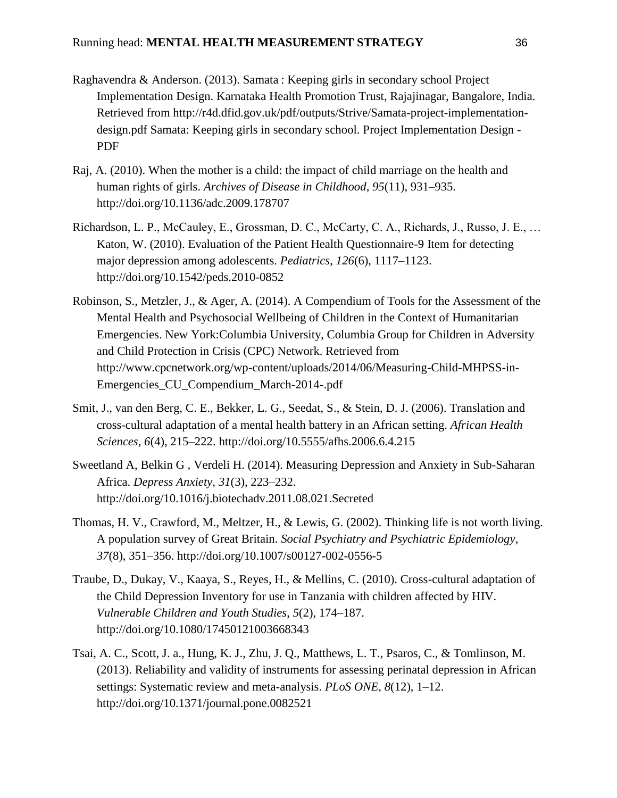- Raghavendra & Anderson. (2013). Samata : Keeping girls in secondary school Project Implementation Design. Karnataka Health Promotion Trust, Rajajinagar, Bangalore, India. Retrieved from http://r4d.dfid.gov.uk/pdf/outputs/Strive/Samata-project-implementationdesign.pdf Samata: Keeping girls in secondary school. Project Implementation Design - PDF
- Raj, A. (2010). When the mother is a child: the impact of child marriage on the health and human rights of girls. *Archives of Disease in Childhood*, *95*(11), 931–935. http://doi.org/10.1136/adc.2009.178707
- Richardson, L. P., McCauley, E., Grossman, D. C., McCarty, C. A., Richards, J., Russo, J. E., … Katon, W. (2010). Evaluation of the Patient Health Questionnaire-9 Item for detecting major depression among adolescents. *Pediatrics*, *126*(6), 1117–1123. http://doi.org/10.1542/peds.2010-0852
- Robinson, S., Metzler, J., & Ager, A. (2014). A Compendium of Tools for the Assessment of the Mental Health and Psychosocial Wellbeing of Children in the Context of Humanitarian Emergencies. New York:Columbia University, Columbia Group for Children in Adversity and Child Protection in Crisis (CPC) Network. Retrieved from http://www.cpcnetwork.org/wp-content/uploads/2014/06/Measuring-Child-MHPSS-in-Emergencies\_CU\_Compendium\_March-2014-.pdf
- Smit, J., van den Berg, C. E., Bekker, L. G., Seedat, S., & Stein, D. J. (2006). Translation and cross-cultural adaptation of a mental health battery in an African setting. *African Health Sciences*, *6*(4), 215–222. http://doi.org/10.5555/afhs.2006.6.4.215
- Sweetland A, Belkin G , Verdeli H. (2014). Measuring Depression and Anxiety in Sub-Saharan Africa. *Depress Anxiety*, *31*(3), 223–232. http://doi.org/10.1016/j.biotechadv.2011.08.021.Secreted
- Thomas, H. V., Crawford, M., Meltzer, H., & Lewis, G. (2002). Thinking life is not worth living. A population survey of Great Britain. *Social Psychiatry and Psychiatric Epidemiology*, *37*(8), 351–356. http://doi.org/10.1007/s00127-002-0556-5
- Traube, D., Dukay, V., Kaaya, S., Reyes, H., & Mellins, C. (2010). Cross-cultural adaptation of the Child Depression Inventory for use in Tanzania with children affected by HIV. *Vulnerable Children and Youth Studies*, *5*(2), 174–187. http://doi.org/10.1080/17450121003668343
- Tsai, A. C., Scott, J. a., Hung, K. J., Zhu, J. Q., Matthews, L. T., Psaros, C., & Tomlinson, M. (2013). Reliability and validity of instruments for assessing perinatal depression in African settings: Systematic review and meta-analysis. *PLoS ONE*, *8*(12), 1–12. http://doi.org/10.1371/journal.pone.0082521